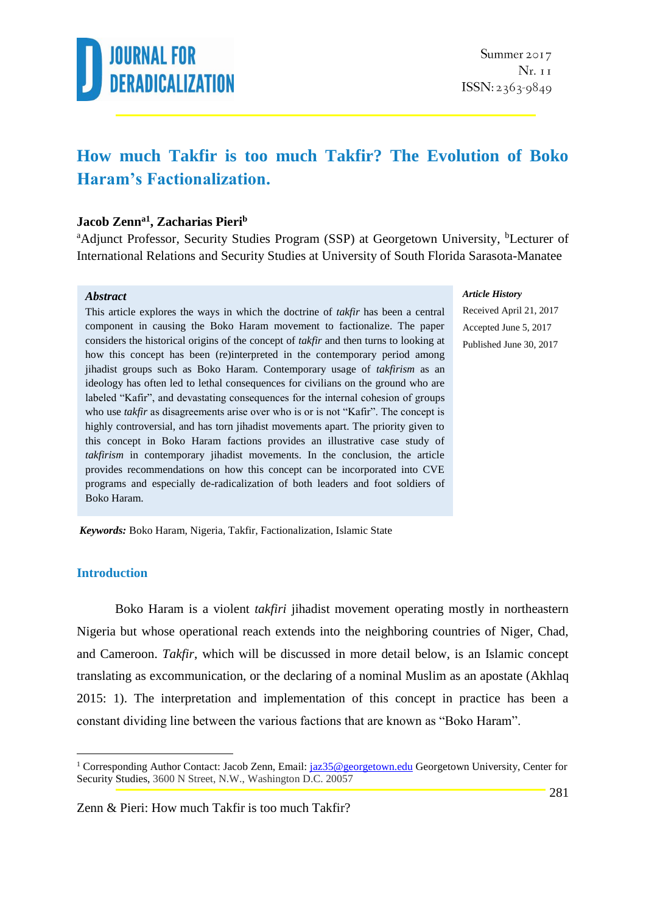

### **How much Takfir is too much Takfir? The Evolution of Boko Haram's Factionalization.**

#### **Jacob Zenna1 , Zacharias Pieri<sup>b</sup>**

<sup>a</sup>Adjunct Professor, Security Studies Program (SSP) at Georgetown University, <sup>b</sup>Lecturer of International Relations and Security Studies at University of South Florida Sarasota-Manatee

#### *Abstract*

This article explores the ways in which the doctrine of *takfir* has been a central component in causing the Boko Haram movement to factionalize. The paper considers the historical origins of the concept of *takfir* and then turns to looking at how this concept has been (re)interpreted in the contemporary period among jihadist groups such as Boko Haram. Contemporary usage of *takfirism* as an ideology has often led to lethal consequences for civilians on the ground who are labeled "Kafir", and devastating consequences for the internal cohesion of groups who use *takfir* as disagreements arise over who is or is not "Kafir". The concept is highly controversial, and has torn jihadist movements apart. The priority given to this concept in Boko Haram factions provides an illustrative case study of *takfirism* in contemporary jihadist movements. In the conclusion, the article provides recommendations on how this concept can be incorporated into CVE programs and especially de-radicalization of both leaders and foot soldiers of Boko Haram.

#### *Article History*

Received April 21, 2017 Accepted June 5, 2017 Published June 30, 2017

*Keywords:* Boko Haram, Nigeria, Takfir, Factionalization, Islamic State

#### **Introduction**

1

Boko Haram is a violent *takfiri* jihadist movement operating mostly in northeastern Nigeria but whose operational reach extends into the neighboring countries of Niger, Chad, and Cameroon. *Takfir*, which will be discussed in more detail below, is an Islamic concept translating as excommunication, or the declaring of a nominal Muslim as an apostate (Akhlaq 2015: 1). The interpretation and implementation of this concept in practice has been a constant dividing line between the various factions that are known as "Boko Haram".

<sup>&</sup>lt;sup>1</sup> Corresponding Author Contact: Jacob Zenn, Email[: jaz35@georgetown.edu](mailto:jaz35@georgetown.edu) Georgetown University, Center for Security Studies, 3600 N Street, N.W., Washington D.C. 20057

Zenn & Pieri: How much Takfir is too much Takfir?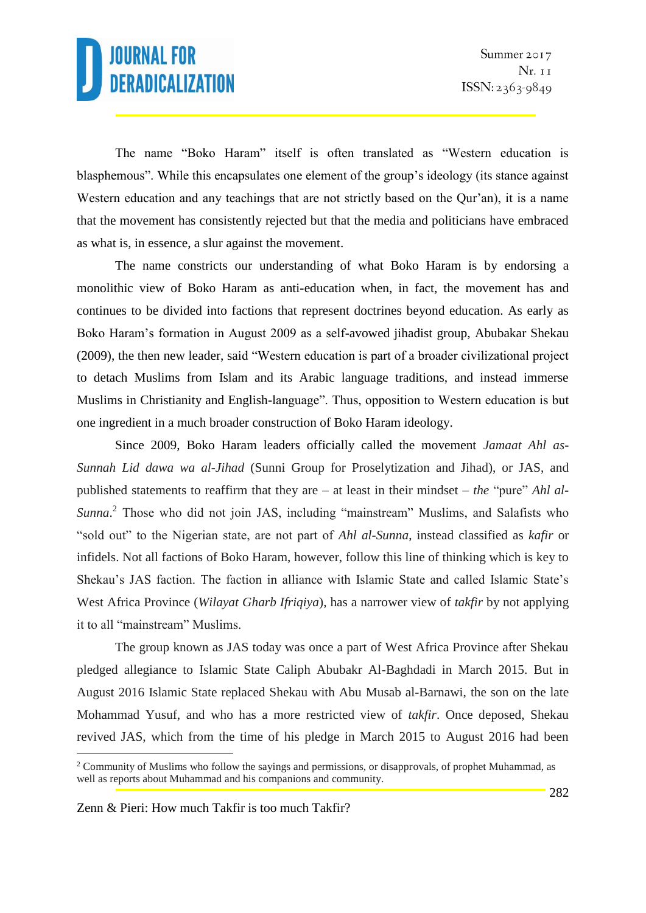The name "Boko Haram" itself is often translated as "Western education is blasphemous". While this encapsulates one element of the group's ideology (its stance against Western education and any teachings that are not strictly based on the Qur'an), it is a name that the movement has consistently rejected but that the media and politicians have embraced as what is, in essence, a slur against the movement.

The name constricts our understanding of what Boko Haram is by endorsing a monolithic view of Boko Haram as anti-education when, in fact, the movement has and continues to be divided into factions that represent doctrines beyond education. As early as Boko Haram's formation in August 2009 as a self-avowed jihadist group, Abubakar Shekau (2009), the then new leader, said "Western education is part of a broader civilizational project to detach Muslims from Islam and its Arabic language traditions, and instead immerse Muslims in Christianity and English-language". Thus, opposition to Western education is but one ingredient in a much broader construction of Boko Haram ideology.

Since 2009, Boko Haram leaders officially called the movement *Jamaat Ahl as-Sunnah Lid dawa wa al-Jihad* (Sunni Group for Proselytization and Jihad), or JAS, and published statements to reaffirm that they are – at least in their mindset – *the* "pure" *Ahl al-Sunna*. <sup>2</sup> Those who did not join JAS, including "mainstream" Muslims, and Salafists who "sold out" to the Nigerian state, are not part of *Ahl al-Sunna*, instead classified as *kafir* or infidels. Not all factions of Boko Haram, however, follow this line of thinking which is key to Shekau's JAS faction. The faction in alliance with Islamic State and called Islamic State's West Africa Province (*Wilayat Gharb Ifriqiya*), has a narrower view of *takfir* by not applying it to all "mainstream" Muslims.

The group known as JAS today was once a part of West Africa Province after Shekau pledged allegiance to Islamic State Caliph Abubakr Al-Baghdadi in March 2015. But in August 2016 Islamic State replaced Shekau with Abu Musab al-Barnawi, the son on the late Mohammad Yusuf, and who has a more restricted view of *takfir*. Once deposed, Shekau revived JAS, which from the time of his pledge in March 2015 to August 2016 had been

Zenn & Pieri: How much Takfir is too much Takfir?

<sup>&</sup>lt;sup>2</sup> Community of Muslims who follow the sayings and permissions, or disapprovals, of prophet Muhammad, as well as reports about Muhammad and his companions and community.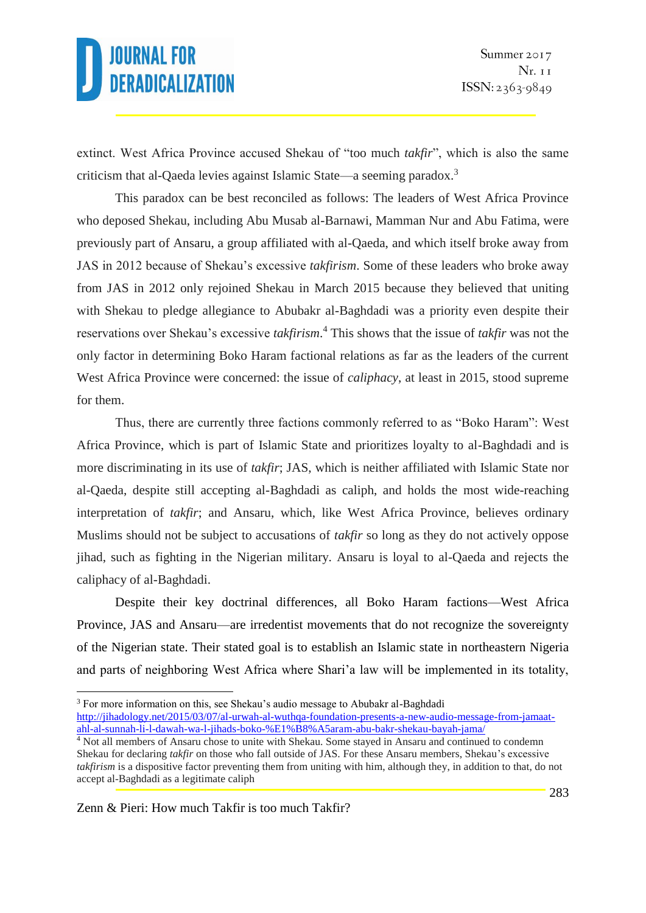extinct. West Africa Province accused Shekau of "too much *takfir*", which is also the same criticism that al-Qaeda levies against Islamic State—a seeming paradox.<sup>3</sup>

This paradox can be best reconciled as follows: The leaders of West Africa Province who deposed Shekau, including Abu Musab al-Barnawi, Mamman Nur and Abu Fatima, were previously part of Ansaru, a group affiliated with al-Qaeda, and which itself broke away from JAS in 2012 because of Shekau's excessive *takfirism*. Some of these leaders who broke away from JAS in 2012 only rejoined Shekau in March 2015 because they believed that uniting with Shekau to pledge allegiance to Abubakr al-Baghdadi was a priority even despite their reservations over Shekau's excessive *takfirism*. <sup>4</sup> This shows that the issue of *takfir* was not the only factor in determining Boko Haram factional relations as far as the leaders of the current West Africa Province were concerned: the issue of *caliphacy*, at least in 2015, stood supreme for them.

Thus, there are currently three factions commonly referred to as "Boko Haram": West Africa Province, which is part of Islamic State and prioritizes loyalty to al-Baghdadi and is more discriminating in its use of *takfir*; JAS, which is neither affiliated with Islamic State nor al-Qaeda, despite still accepting al-Baghdadi as caliph, and holds the most wide-reaching interpretation of *takfir*; and Ansaru, which, like West Africa Province, believes ordinary Muslims should not be subject to accusations of *takfir* so long as they do not actively oppose jihad, such as fighting in the Nigerian military. Ansaru is loyal to al-Qaeda and rejects the caliphacy of al-Baghdadi.

Despite their key doctrinal differences, all Boko Haram factions—West Africa Province, JAS and Ansaru—are irredentist movements that do not recognize the sovereignty of the Nigerian state. Their stated goal is to establish an Islamic state in northeastern Nigeria and parts of neighboring West Africa where Shari'a law will be implemented in its totality,

<sup>1</sup> <sup>3</sup> For more information on this, see Shekau's audio message to Abubakr al-Baghdadi [http://jihadology.net/2015/03/07/al-urwah-al-wuthqa-foundation-presents-a-new-audio-message-from-jamaat](http://jihadology.net/2015/03/07/al-urwah-al-wuthqa-foundation-presents-a-new-audio-message-from-jamaat-ahl-al-sunnah-li-l-dawah-wa-l-jihads-boko-%E1%B8%A5aram-abu-bakr-shekau-bayah-jama/)[ahl-al-sunnah-li-l-dawah-wa-l-jihads-boko-%E1%B8%A5aram-abu-bakr-shekau-bayah-jama/](http://jihadology.net/2015/03/07/al-urwah-al-wuthqa-foundation-presents-a-new-audio-message-from-jamaat-ahl-al-sunnah-li-l-dawah-wa-l-jihads-boko-%E1%B8%A5aram-abu-bakr-shekau-bayah-jama/)

<sup>&</sup>lt;sup>4</sup> Not all members of Ansaru chose to unite with Shekau. Some stayed in Ansaru and continued to condemn Shekau for declaring *takfir* on those who fall outside of JAS. For these Ansaru members, Shekau's excessive *takfirism* is a dispositive factor preventing them from uniting with him, although they, in addition to that, do not accept al-Baghdadi as a legitimate caliph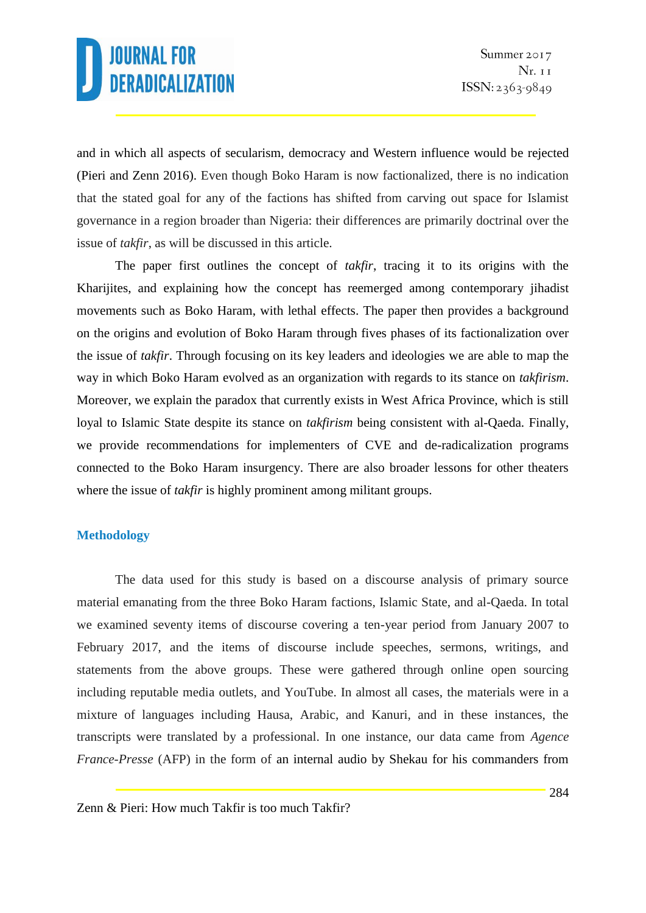and in which all aspects of secularism, democracy and Western influence would be rejected (Pieri and Zenn 2016). Even though Boko Haram is now factionalized, there is no indication that the stated goal for any of the factions has shifted from carving out space for Islamist governance in a region broader than Nigeria: their differences are primarily doctrinal over the issue of *takfir*, as will be discussed in this article.

The paper first outlines the concept of *takfir*, tracing it to its origins with the Kharijites, and explaining how the concept has reemerged among contemporary jihadist movements such as Boko Haram, with lethal effects. The paper then provides a background on the origins and evolution of Boko Haram through fives phases of its factionalization over the issue of *takfir*. Through focusing on its key leaders and ideologies we are able to map the way in which Boko Haram evolved as an organization with regards to its stance on *takfirism*. Moreover, we explain the paradox that currently exists in West Africa Province, which is still loyal to Islamic State despite its stance on *takfirism* being consistent with al-Qaeda. Finally, we provide recommendations for implementers of CVE and de-radicalization programs connected to the Boko Haram insurgency. There are also broader lessons for other theaters where the issue of *takfir* is highly prominent among militant groups.

### **Methodology**

The data used for this study is based on a discourse analysis of primary source material emanating from the three Boko Haram factions, Islamic State, and al-Qaeda. In total we examined seventy items of discourse covering a ten-year period from January 2007 to February 2017, and the items of discourse include speeches, sermons, writings, and statements from the above groups. These were gathered through online open sourcing including reputable media outlets, and YouTube. In almost all cases, the materials were in a mixture of languages including Hausa, Arabic, and Kanuri, and in these instances, the transcripts were translated by a professional. In one instance, our data came from *Agence France-Presse* (AFP) in the form of an internal audio by Shekau for his commanders from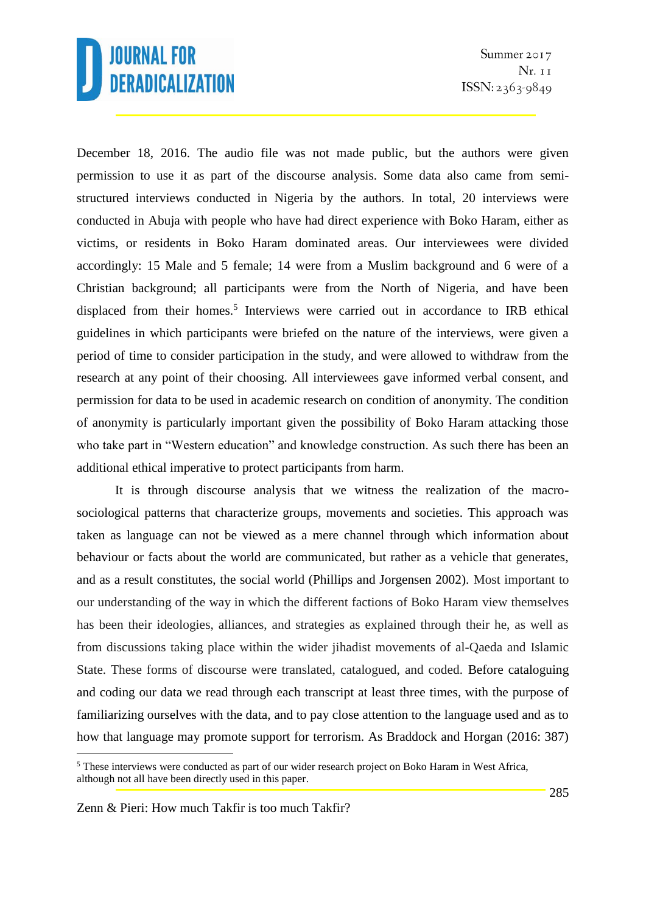December 18, 2016. The audio file was not made public, but the authors were given permission to use it as part of the discourse analysis. Some data also came from semistructured interviews conducted in Nigeria by the authors. In total, 20 interviews were conducted in Abuja with people who have had direct experience with Boko Haram, either as victims, or residents in Boko Haram dominated areas. Our interviewees were divided accordingly: 15 Male and 5 female; 14 were from a Muslim background and 6 were of a Christian background; all participants were from the North of Nigeria, and have been displaced from their homes.<sup>5</sup> Interviews were carried out in accordance to IRB ethical guidelines in which participants were briefed on the nature of the interviews, were given a period of time to consider participation in the study, and were allowed to withdraw from the research at any point of their choosing. All interviewees gave informed verbal consent, and permission for data to be used in academic research on condition of anonymity. The condition of anonymity is particularly important given the possibility of Boko Haram attacking those who take part in "Western education" and knowledge construction. As such there has been an additional ethical imperative to protect participants from harm.

It is through discourse analysis that we witness the realization of the macrosociological patterns that characterize groups, movements and societies. This approach was taken as language can not be viewed as a mere channel through which information about behaviour or facts about the world are communicated, but rather as a vehicle that generates, and as a result constitutes, the social world (Phillips and Jorgensen 2002). Most important to our understanding of the way in which the different factions of Boko Haram view themselves has been their ideologies, alliances, and strategies as explained through their he, as well as from discussions taking place within the wider jihadist movements of al-Qaeda and Islamic State. These forms of discourse were translated, catalogued, and coded. Before cataloguing and coding our data we read through each transcript at least three times, with the purpose of familiarizing ourselves with the data, and to pay close attention to the language used and as to how that language may promote support for terrorism. As Braddock and Horgan (2016: 387)

<sup>&</sup>lt;sup>5</sup> These interviews were conducted as part of our wider research project on Boko Haram in West Africa, although not all have been directly used in this paper.

Zenn & Pieri: How much Takfir is too much Takfir?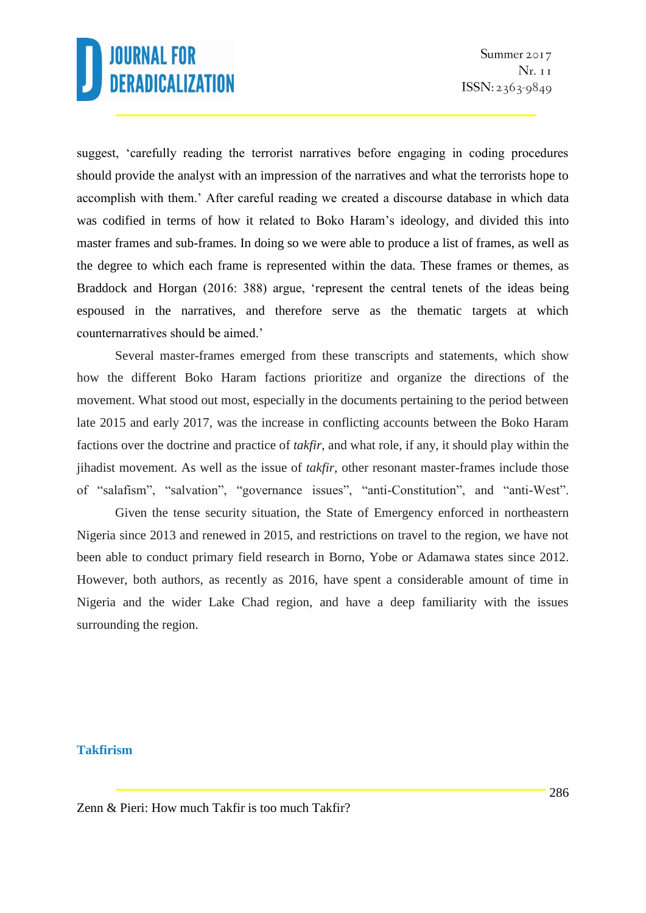suggest, 'carefully reading the terrorist narratives before engaging in coding procedures should provide the analyst with an impression of the narratives and what the terrorists hope to accomplish with them.' After careful reading we created a discourse database in which data was codified in terms of how it related to Boko Haram's ideology, and divided this into master frames and sub-frames. In doing so we were able to produce a list of frames, as well as the degree to which each frame is represented within the data. These frames or themes, as Braddock and Horgan (2016: 388) argue, 'represent the central tenets of the ideas being espoused in the narratives, and therefore serve as the thematic targets at which counternarratives should be aimed.'

Several master-frames emerged from these transcripts and statements, which show how the different Boko Haram factions prioritize and organize the directions of the movement. What stood out most, especially in the documents pertaining to the period between late 2015 and early 2017, was the increase in conflicting accounts between the Boko Haram factions over the doctrine and practice of *takfir*, and what role, if any, it should play within the jihadist movement. As well as the issue of *takfir*, other resonant master-frames include those of "salafism", "salvation", "governance issues", "anti-Constitution", and "anti-West".

Given the tense security situation, the State of Emergency enforced in northeastern Nigeria since 2013 and renewed in 2015, and restrictions on travel to the region, we have not been able to conduct primary field research in Borno, Yobe or Adamawa states since 2012. However, both authors, as recently as 2016, have spent a considerable amount of time in Nigeria and the wider Lake Chad region, and have a deep familiarity with the issues surrounding the region.

#### **Takfirism**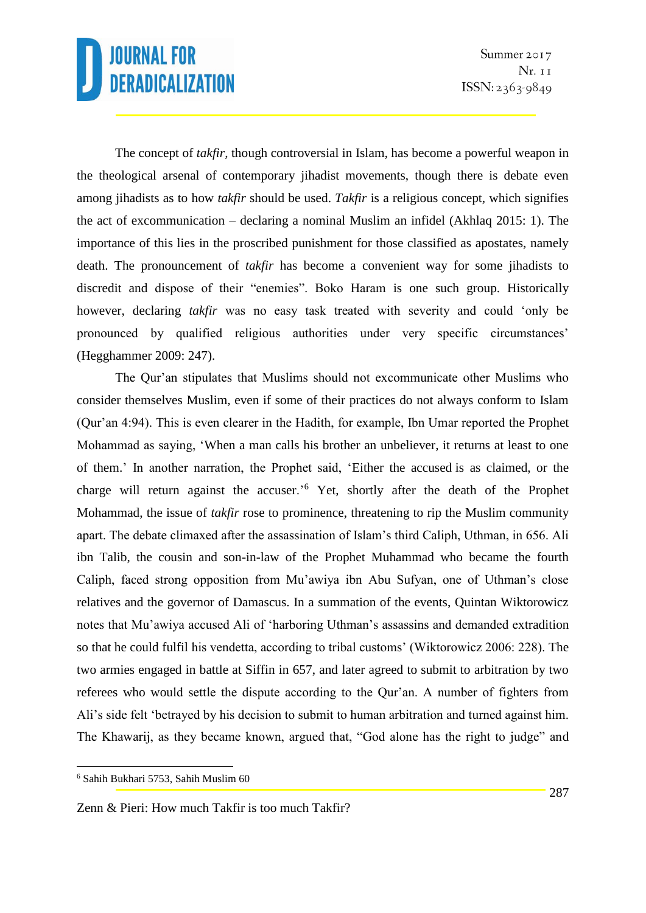The concept of *takfir,* though controversial in Islam, has become a powerful weapon in the theological arsenal of contemporary jihadist movements, though there is debate even among jihadists as to how *takfir* should be used. *Takfir* is a religious concept, which signifies the act of excommunication – declaring a nominal Muslim an infidel (Akhlaq 2015: 1). The importance of this lies in the proscribed punishment for those classified as apostates, namely death. The pronouncement of *takfir* has become a convenient way for some jihadists to discredit and dispose of their "enemies". Boko Haram is one such group. Historically however, declaring *takfir* was no easy task treated with severity and could 'only be pronounced by qualified religious authorities under very specific circumstances' (Hegghammer 2009: 247).

The Qur'an stipulates that Muslims should not excommunicate other Muslims who consider themselves Muslim, even if some of their practices do not always conform to Islam (Qur'an 4:94). This is even clearer in the Hadith, for example, Ibn Umar reported the Prophet Mohammad as saying, 'When a man calls his brother an unbeliever, it returns at least to one of them.' In another narration, the Prophet said, 'Either the accused is as claimed, or the charge will return against the accuser.'<sup>6</sup> Yet, shortly after the death of the Prophet Mohammad, the issue of *takfir* rose to prominence, threatening to rip the Muslim community apart. The debate climaxed after the assassination of Islam's third Caliph, Uthman, in 656. Ali ibn Talib, the cousin and son-in-law of the Prophet Muhammad who became the fourth Caliph, faced strong opposition from Mu'awiya ibn Abu Sufyan, one of Uthman's close relatives and the governor of Damascus. In a summation of the events, Quintan Wiktorowicz notes that Mu'awiya accused Ali of 'harboring Uthman's assassins and demanded extradition so that he could fulfil his vendetta, according to tribal customs' (Wiktorowicz 2006: 228). The two armies engaged in battle at Siffin in 657, and later agreed to submit to arbitration by two referees who would settle the dispute according to the Qur'an. A number of fighters from Ali's side felt 'betrayed by his decision to submit to human arbitration and turned against him. The Khawarij, as they became known, argued that, "God alone has the right to judge" and

1

<sup>6</sup> Sahih Bukhari 5753, Sahih Muslim 60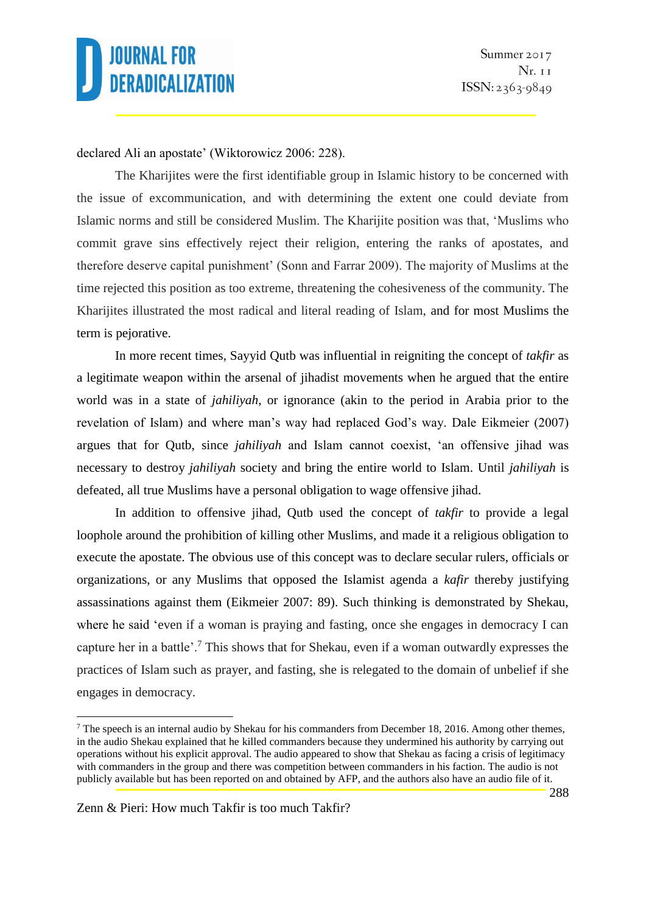

#### declared Ali an apostate' (Wiktorowicz 2006: 228).

The Kharijites were the first identifiable group in Islamic history to be concerned with the issue of excommunication, and with determining the extent one could deviate from Islamic norms and still be considered Muslim. The Kharijite position was that, 'Muslims who commit grave sins effectively reject their religion, entering the ranks of apostates, and therefore deserve capital punishment' (Sonn and Farrar 2009). The majority of Muslims at the time rejected this position as too extreme, threatening the cohesiveness of the community. The Kharijites illustrated the most radical and literal reading of Islam, and for most Muslims the term is pejorative.

In more recent times, Sayyid Qutb was influential in reigniting the concept of *takfir* as a legitimate weapon within the arsenal of jihadist movements when he argued that the entire world was in a state of *jahiliyah*, or ignorance (akin to the period in Arabia prior to the revelation of Islam) and where man's way had replaced God's way. Dale Eikmeier (2007) argues that for Qutb, since *jahiliyah* and Islam cannot coexist, 'an offensive jihad was necessary to destroy *jahiliyah* society and bring the entire world to Islam. Until *jahiliyah* is defeated, all true Muslims have a personal obligation to wage offensive jihad.

In addition to offensive jihad, Qutb used the concept of *takfir* to provide a legal loophole around the prohibition of killing other Muslims, and made it a religious obligation to execute the apostate. The obvious use of this concept was to declare secular rulers, officials or organizations, or any Muslims that opposed the Islamist agenda a *kafir* thereby justifying assassinations against them (Eikmeier 2007: 89). Such thinking is demonstrated by Shekau, where he said 'even if a woman is praying and fasting, once she engages in democracy I can capture her in a battle'.<sup>7</sup> This shows that for Shekau, even if a woman outwardly expresses the practices of Islam such as prayer, and fasting, she is relegated to the domain of unbelief if she engages in democracy.

 $7$  The speech is an internal audio by Shekau for his commanders from December 18, 2016. Among other themes, in the audio Shekau explained that he killed commanders because they undermined his authority by carrying out operations without his explicit approval. The audio appeared to show that Shekau as facing a crisis of legitimacy with commanders in the group and there was competition between commanders in his faction. The audio is not publicly available but has been reported on and obtained by AFP, and the authors also have an audio file of it.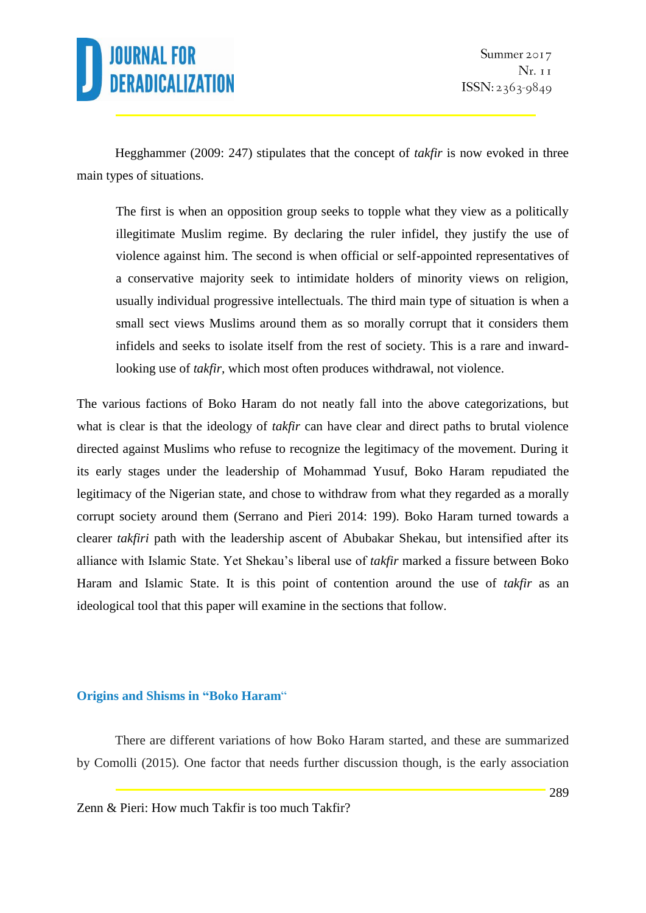

Hegghammer (2009: 247) stipulates that the concept of *takfir* is now evoked in three main types of situations.

The first is when an opposition group seeks to topple what they view as a politically illegitimate Muslim regime. By declaring the ruler infidel, they justify the use of violence against him. The second is when official or self-appointed representatives of a conservative majority seek to intimidate holders of minority views on religion, usually individual progressive intellectuals. The third main type of situation is when a small sect views Muslims around them as so morally corrupt that it considers them infidels and seeks to isolate itself from the rest of society. This is a rare and inwardlooking use of *takfir*, which most often produces withdrawal, not violence.

The various factions of Boko Haram do not neatly fall into the above categorizations, but what is clear is that the ideology of *takfir* can have clear and direct paths to brutal violence directed against Muslims who refuse to recognize the legitimacy of the movement. During it its early stages under the leadership of Mohammad Yusuf, Boko Haram repudiated the legitimacy of the Nigerian state, and chose to withdraw from what they regarded as a morally corrupt society around them (Serrano and Pieri 2014: 199). Boko Haram turned towards a clearer *takfiri* path with the leadership ascent of Abubakar Shekau, but intensified after its alliance with Islamic State. Yet Shekau's liberal use of *takfir* marked a fissure between Boko Haram and Islamic State. It is this point of contention around the use of *takfir* as an ideological tool that this paper will examine in the sections that follow.

#### **Origins and Shisms in "Boko Haram**"

There are different variations of how Boko Haram started, and these are summarized by Comolli (2015)*.* One factor that needs further discussion though, is the early association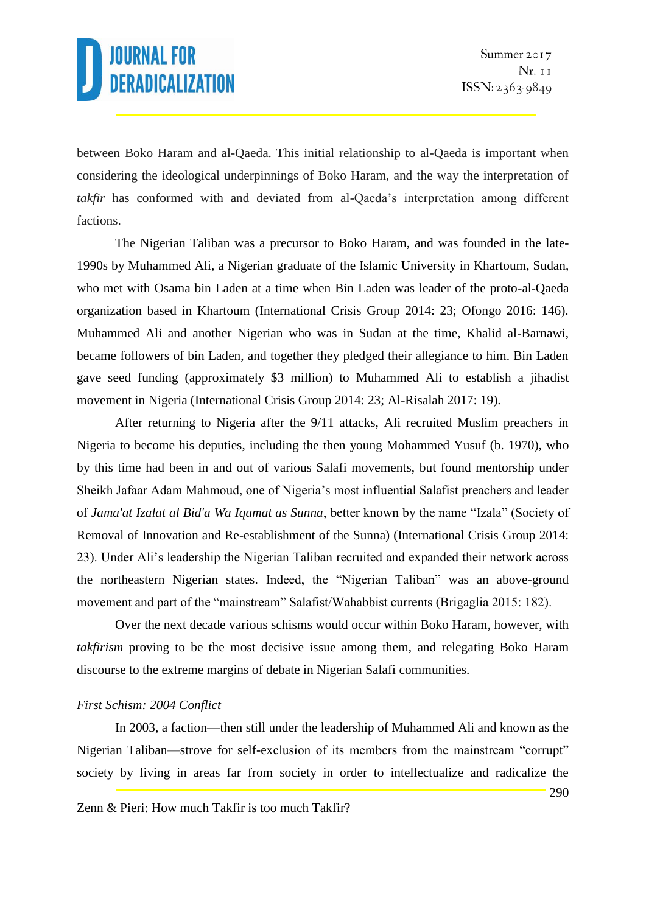between Boko Haram and al-Qaeda. This initial relationship to al-Qaeda is important when considering the ideological underpinnings of Boko Haram, and the way the interpretation of *takfir* has conformed with and deviated from al-Qaeda's interpretation among different factions.

The Nigerian Taliban was a precursor to Boko Haram, and was founded in the late-1990s by Muhammed Ali, a Nigerian graduate of the Islamic University in Khartoum, Sudan, who met with Osama bin Laden at a time when Bin Laden was leader of the proto-al-Qaeda organization based in Khartoum (International Crisis Group 2014: 23; Ofongo 2016: 146). Muhammed Ali and another Nigerian who was in Sudan at the time, Khalid al-Barnawi, became followers of bin Laden, and together they pledged their allegiance to him. Bin Laden gave seed funding (approximately \$3 million) to Muhammed Ali to establish a jihadist movement in Nigeria (International Crisis Group 2014: 23; Al-Risalah 2017: 19).

After returning to Nigeria after the 9/11 attacks, Ali recruited Muslim preachers in Nigeria to become his deputies, including the then young Mohammed Yusuf (b. 1970), who by this time had been in and out of various Salafi movements, but found mentorship under Sheikh Jafaar Adam Mahmoud, one of Nigeria's most influential Salafist preachers and leader of *Jama'at Izalat al Bid'a Wa Iqamat as Sunna*, better known by the name "Izala" (Society of Removal of Innovation and Re-establishment of the Sunna) (International Crisis Group 2014: 23). Under Ali's leadership the Nigerian Taliban recruited and expanded their network across the northeastern Nigerian states. Indeed, the "Nigerian Taliban" was an above-ground movement and part of the "mainstream" Salafist/Wahabbist currents (Brigaglia 2015: 182).

Over the next decade various schisms would occur within Boko Haram, however, with *takfirism* proving to be the most decisive issue among them, and relegating Boko Haram discourse to the extreme margins of debate in Nigerian Salafi communities.

### *First Schism: 2004 Conflict*

In 2003, a faction—then still under the leadership of Muhammed Ali and known as the Nigerian Taliban—strove for self-exclusion of its members from the mainstream "corrupt" society by living in areas far from society in order to intellectualize and radicalize the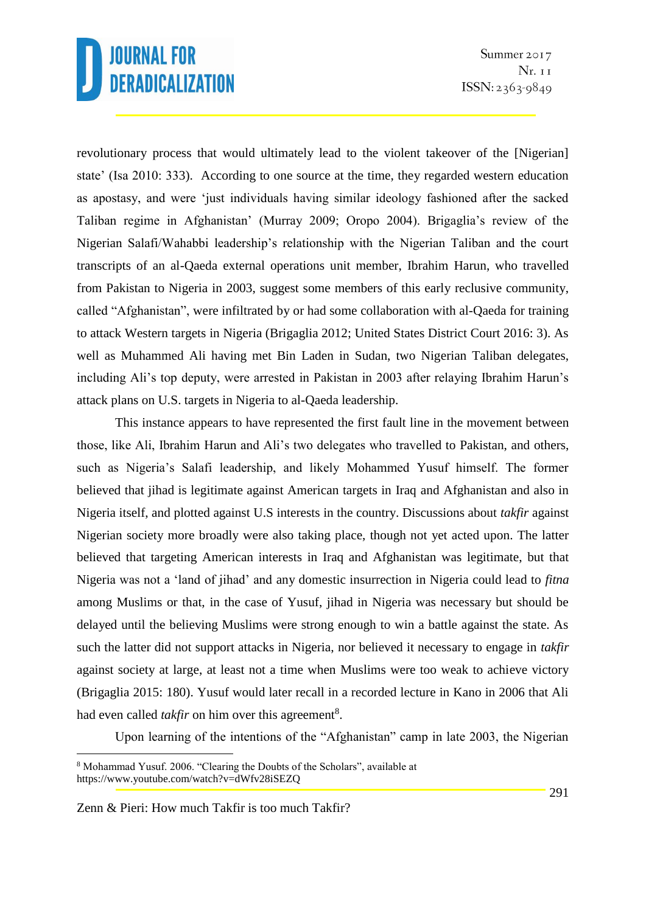revolutionary process that would ultimately lead to the violent takeover of the [Nigerian] state' (Isa 2010: 333). According to one source at the time, they regarded western education as apostasy, and were 'just individuals having similar ideology fashioned after the sacked Taliban regime in Afghanistan' (Murray 2009; Oropo 2004). Brigaglia's review of the Nigerian Salafi/Wahabbi leadership's relationship with the Nigerian Taliban and the court transcripts of an al-Qaeda external operations unit member, Ibrahim Harun, who travelled from Pakistan to Nigeria in 2003, suggest some members of this early reclusive community, called "Afghanistan", were infiltrated by or had some collaboration with al-Qaeda for training to attack Western targets in Nigeria (Brigaglia 2012; United States District Court 2016: 3). As well as Muhammed Ali having met Bin Laden in Sudan, two Nigerian Taliban delegates, including Ali's top deputy, were arrested in Pakistan in 2003 after relaying Ibrahim Harun's attack plans on U.S. targets in Nigeria to al-Qaeda leadership.

This instance appears to have represented the first fault line in the movement between those, like Ali, Ibrahim Harun and Ali's two delegates who travelled to Pakistan, and others, such as Nigeria's Salafi leadership, and likely Mohammed Yusuf himself. The former believed that jihad is legitimate against American targets in Iraq and Afghanistan and also in Nigeria itself, and plotted against U.S interests in the country. Discussions about *takfir* against Nigerian society more broadly were also taking place, though not yet acted upon. The latter believed that targeting American interests in Iraq and Afghanistan was legitimate, but that Nigeria was not a 'land of jihad' and any domestic insurrection in Nigeria could lead to *fitna* among Muslims or that, in the case of Yusuf, jihad in Nigeria was necessary but should be delayed until the believing Muslims were strong enough to win a battle against the state. As such the latter did not support attacks in Nigeria, nor believed it necessary to engage in *takfir* against society at large, at least not a time when Muslims were too weak to achieve victory (Brigaglia 2015: 180). Yusuf would later recall in a recorded lecture in Kano in 2006 that Ali had even called *takfir* on him over this agreement<sup>8</sup>.

Upon learning of the intentions of the "Afghanistan" camp in late 2003, the Nigerian

<sup>8</sup> Mohammad Yusuf. 2006. "Clearing the Doubts of the Scholars", available at https://www.youtube.com/watch?v=dWfv28iSEZQ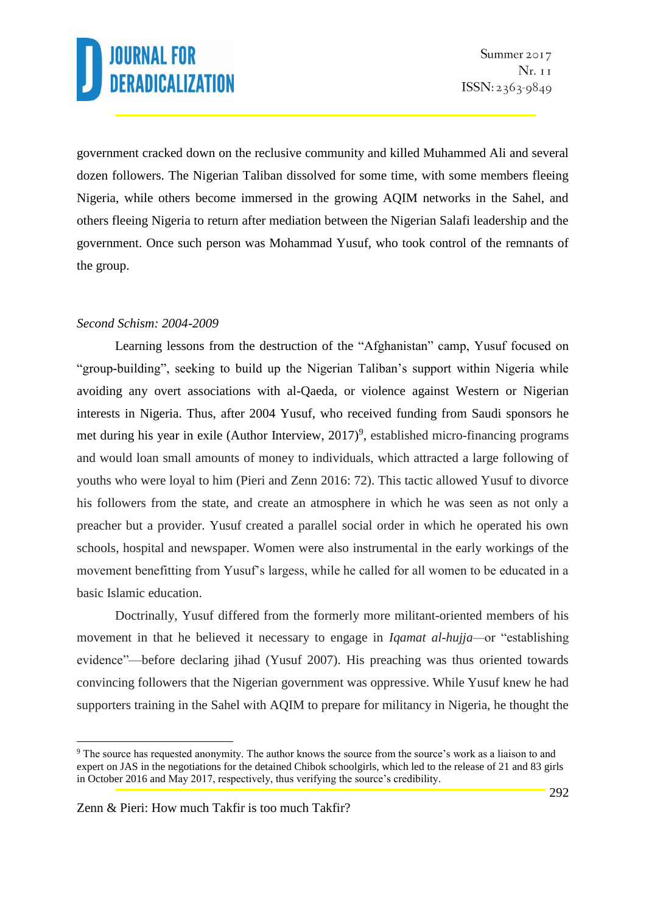government cracked down on the reclusive community and killed Muhammed Ali and several dozen followers. The Nigerian Taliban dissolved for some time, with some members fleeing Nigeria, while others become immersed in the growing AQIM networks in the Sahel, and others fleeing Nigeria to return after mediation between the Nigerian Salafi leadership and the government. Once such person was Mohammad Yusuf, who took control of the remnants of the group.

### *Second Schism: 2004-2009*

Learning lessons from the destruction of the "Afghanistan" camp, Yusuf focused on "group-building", seeking to build up the Nigerian Taliban's support within Nigeria while avoiding any overt associations with al-Qaeda, or violence against Western or Nigerian interests in Nigeria. Thus, after 2004 Yusuf, who received funding from Saudi sponsors he met during his year in exile (Author Interview, 2017)<sup>9</sup>, established micro-financing programs and would loan small amounts of money to individuals, which attracted a large following of youths who were loyal to him (Pieri and Zenn 2016: 72). This tactic allowed Yusuf to divorce his followers from the state, and create an atmosphere in which he was seen as not only a preacher but a provider. Yusuf created a parallel social order in which he operated his own schools, hospital and newspaper. Women were also instrumental in the early workings of the movement benefitting from Yusuf's largess, while he called for all women to be educated in a basic Islamic education.

Doctrinally, Yusuf differed from the formerly more militant-oriented members of his movement in that he believed it necessary to engage in *Iqamat al-hujja—*or "establishing evidence"—before declaring jihad (Yusuf 2007). His preaching was thus oriented towards convincing followers that the Nigerian government was oppressive. While Yusuf knew he had supporters training in the Sahel with AQIM to prepare for militancy in Nigeria, he thought the

<sup>9</sup> The source has requested anonymity. The author knows the source from the source's work as a liaison to and expert on JAS in the negotiations for the detained Chibok schoolgirls, which led to the release of 21 and 83 girls in October 2016 and May 2017, respectively, thus verifying the source's credibility.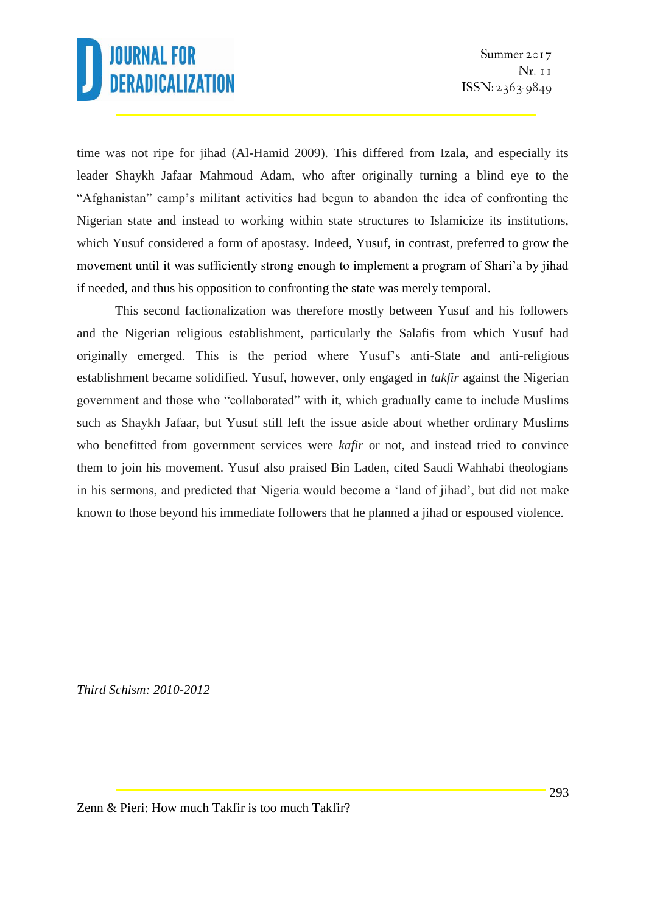time was not ripe for jihad (Al-Hamid 2009). This differed from Izala, and especially its leader Shaykh Jafaar Mahmoud Adam, who after originally turning a blind eye to the "Afghanistan" camp's militant activities had begun to abandon the idea of confronting the Nigerian state and instead to working within state structures to Islamicize its institutions, which Yusuf considered a form of apostasy. Indeed, Yusuf, in contrast, preferred to grow the movement until it was sufficiently strong enough to implement a program of Shari'a by jihad if needed, and thus his opposition to confronting the state was merely temporal.

This second factionalization was therefore mostly between Yusuf and his followers and the Nigerian religious establishment, particularly the Salafis from which Yusuf had originally emerged. This is the period where Yusuf's anti-State and anti-religious establishment became solidified. Yusuf, however, only engaged in *takfir* against the Nigerian government and those who "collaborated" with it, which gradually came to include Muslims such as Shaykh Jafaar, but Yusuf still left the issue aside about whether ordinary Muslims who benefitted from government services were *kafir* or not, and instead tried to convince them to join his movement. Yusuf also praised Bin Laden, cited Saudi Wahhabi theologians in his sermons, and predicted that Nigeria would become a 'land of jihad', but did not make known to those beyond his immediate followers that he planned a jihad or espoused violence.

*Third Schism: 2010-2012*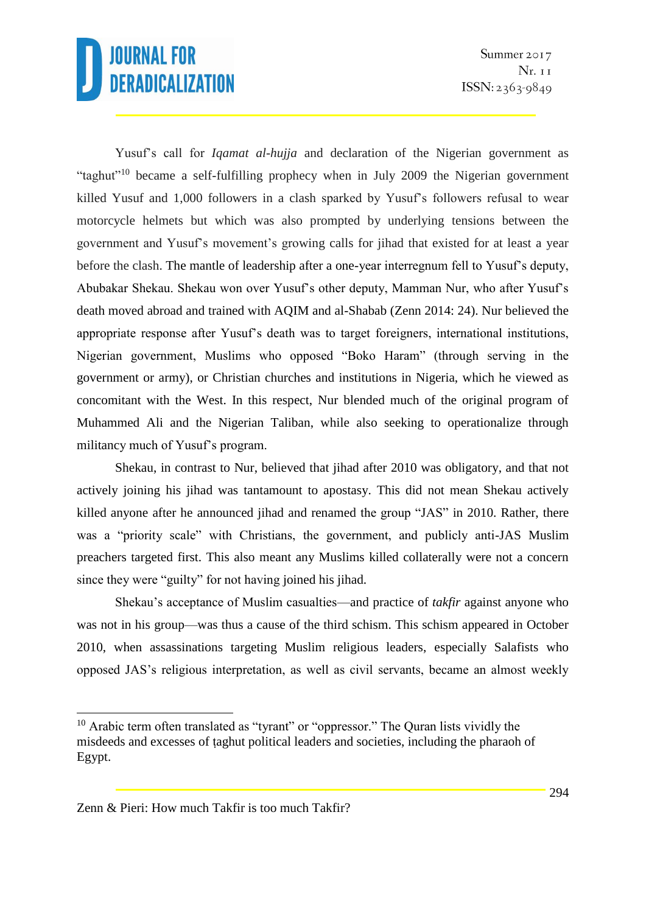Yusuf's call for *Iqamat al-hujja* and declaration of the Nigerian government as "taghut"<sup>10</sup> became a self-fulfilling prophecy when in July 2009 the Nigerian government killed Yusuf and 1,000 followers in a clash sparked by Yusuf's followers refusal to wear motorcycle helmets but which was also prompted by underlying tensions between the government and Yusuf's movement's growing calls for jihad that existed for at least a year before the clash. The mantle of leadership after a one-year interregnum fell to Yusuf's deputy, Abubakar Shekau. Shekau won over Yusuf's other deputy, Mamman Nur, who after Yusuf's death moved abroad and trained with AQIM and al-Shabab (Zenn 2014: 24). Nur believed the appropriate response after Yusuf's death was to target foreigners, international institutions, Nigerian government, Muslims who opposed "Boko Haram" (through serving in the government or army), or Christian churches and institutions in Nigeria, which he viewed as concomitant with the West. In this respect, Nur blended much of the original program of Muhammed Ali and the Nigerian Taliban, while also seeking to operationalize through militancy much of Yusuf's program.

Shekau, in contrast to Nur, believed that jihad after 2010 was obligatory, and that not actively joining his jihad was tantamount to apostasy. This did not mean Shekau actively killed anyone after he announced jihad and renamed the group "JAS" in 2010. Rather, there was a "priority scale" with Christians, the government, and publicly anti-JAS Muslim preachers targeted first. This also meant any Muslims killed collaterally were not a concern since they were "guilty" for not having joined his jihad.

Shekau's acceptance of Muslim casualties—and practice of *takfir* against anyone who was not in his group—was thus a cause of the third schism. This schism appeared in October 2010, when assassinations targeting Muslim religious leaders, especially Salafists who opposed JAS's religious interpretation, as well as civil servants, became an almost weekly

 $10$  Arabic term often translated as "tyrant" or "oppressor." The Quran lists vividly the misdeeds and excesses of ṭaghut political leaders and societies, including the pharaoh of Egypt.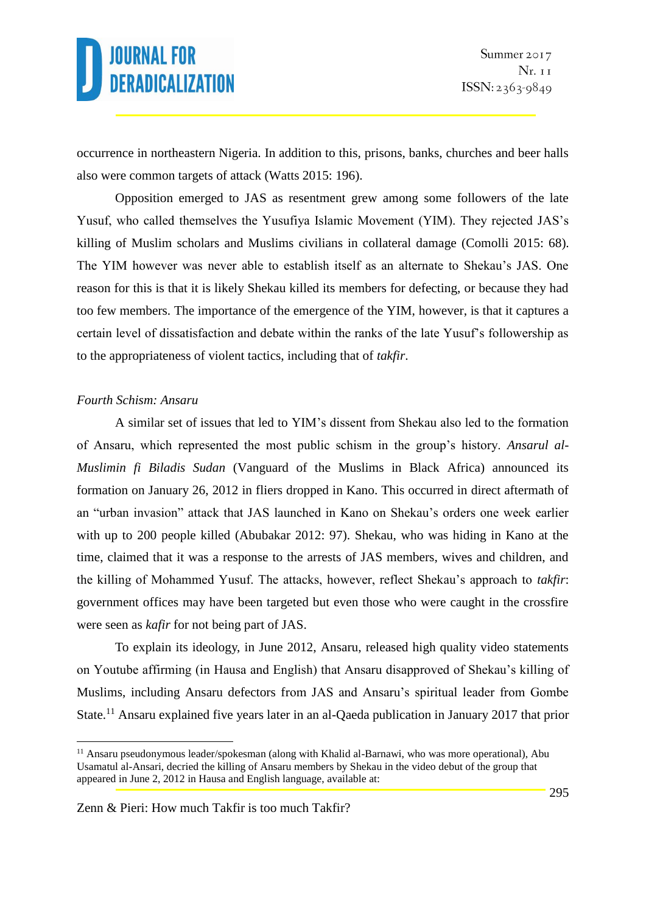occurrence in northeastern Nigeria. In addition to this, prisons, banks, churches and beer halls also were common targets of attack (Watts 2015: 196).

Opposition emerged to JAS as resentment grew among some followers of the late Yusuf, who called themselves the Yusufiya Islamic Movement (YIM). They rejected JAS's killing of Muslim scholars and Muslims civilians in collateral damage (Comolli 2015: 68). The YIM however was never able to establish itself as an alternate to Shekau's JAS. One reason for this is that it is likely Shekau killed its members for defecting, or because they had too few members. The importance of the emergence of the YIM, however, is that it captures a certain level of dissatisfaction and debate within the ranks of the late Yusuf's followership as to the appropriateness of violent tactics, including that of *takfir*.

#### *Fourth Schism: Ansaru*

1

A similar set of issues that led to YIM's dissent from Shekau also led to the formation of Ansaru, which represented the most public schism in the group's history. *Ansarul al-Muslimin fi Biladis Sudan* (Vanguard of the Muslims in Black Africa) announced its formation on January 26, 2012 in fliers dropped in Kano. This occurred in direct aftermath of an "urban invasion" attack that JAS launched in Kano on Shekau's orders one week earlier with up to 200 people killed (Abubakar 2012: 97). Shekau, who was hiding in Kano at the time, claimed that it was a response to the arrests of JAS members, wives and children, and the killing of Mohammed Yusuf. The attacks, however, reflect Shekau's approach to *takfir*: government offices may have been targeted but even those who were caught in the crossfire were seen as *kafir* for not being part of JAS.

To explain its ideology, in June 2012, Ansaru, released high quality video statements on Youtube affirming (in Hausa and English) that Ansaru disapproved of Shekau's killing of Muslims, including Ansaru defectors from JAS and Ansaru's spiritual leader from Gombe State.<sup>11</sup> Ansaru explained five years later in an al-Qaeda publication in January 2017 that prior

 $11$  Ansaru pseudonymous leader/spokesman (along with Khalid al-Barnawi, who was more operational), Abu Usamatul al-Ansari, decried the killing of Ansaru members by Shekau in the video debut of the group that appeared in June 2, 2012 in Hausa and English language, available at: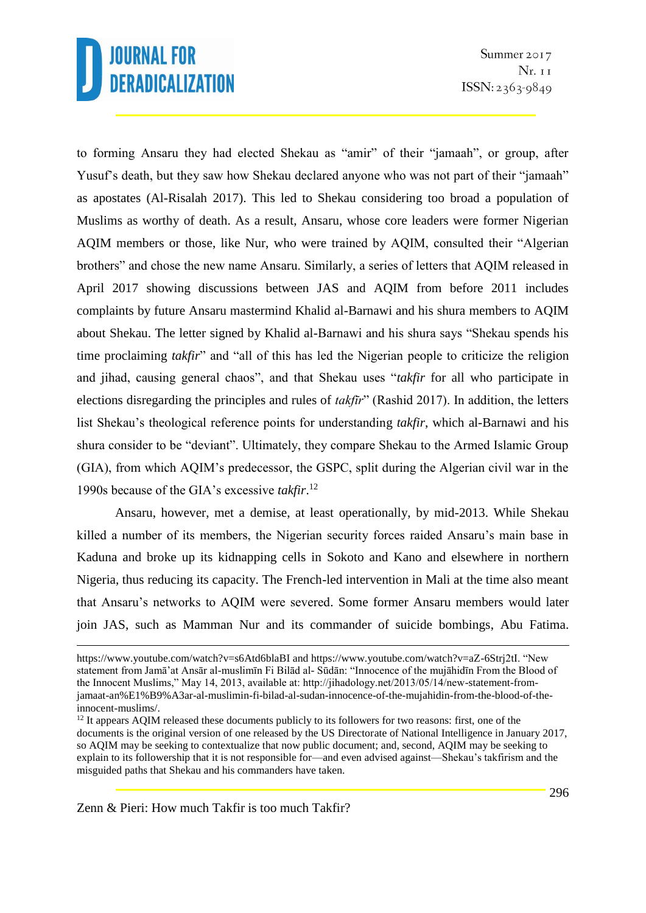to forming Ansaru they had elected Shekau as "amir" of their "jamaah", or group, after Yusuf's death, but they saw how Shekau declared anyone who was not part of their "jamaah" as apostates (Al-Risalah 2017). This led to Shekau considering too broad a population of Muslims as worthy of death. As a result, Ansaru, whose core leaders were former Nigerian AQIM members or those, like Nur, who were trained by AQIM, consulted their "Algerian brothers" and chose the new name Ansaru. Similarly, a series of letters that AQIM released in April 2017 showing discussions between JAS and AQIM from before 2011 includes complaints by future Ansaru mastermind Khalid al-Barnawi and his shura members to AQIM about Shekau. The letter signed by Khalid al-Barnawi and his shura says "Shekau spends his time proclaiming *takfir*" and "all of this has led the Nigerian people to criticize the religion and jihad, causing general chaos", and that Shekau uses "*takfir* for all who participate in elections disregarding the principles and rules of *takfīr*" (Rashid 2017). In addition, the letters list Shekau's theological reference points for understanding *takfir*, which al-Barnawi and his shura consider to be "deviant". Ultimately, they compare Shekau to the Armed Islamic Group (GIA), from which AQIM's predecessor, the GSPC, split during the Algerian civil war in the 1990s because of the GIA's excessive *takfir*. 12

Ansaru, however, met a demise, at least operationally, by mid-2013. While Shekau killed a number of its members, the Nigerian security forces raided Ansaru's main base in Kaduna and broke up its kidnapping cells in Sokoto and Kano and elsewhere in northern Nigeria, thus reducing its capacity. The French-led intervention in Mali at the time also meant that Ansaru's networks to AQIM were severed. Some former Ansaru members would later join JAS, such as Mamman Nur and its commander of suicide bombings, Abu Fatima.

Zenn & Pieri: How much Takfir is too much Takfir?

https://www.youtube.com/watch?v=s6Atd6blaBI and https://www.youtube.com/watch?v=aZ-6Strj2tI. "New statement from Jamā'at Ansār al-muslimīn Fi Bilād al- Sūdān: "Innocence of the mujāhidīn From the Blood of the Innocent Muslims," May 14, 2013, available at: http://jihadology.net/2013/05/14/new-statement-fromjamaat-an%E1%B9%A3ar-al-muslimin-fi-bilad-al-sudan-innocence-of-the-mujahidin-from-the-blood-of-theinnocent-muslims/.

<sup>&</sup>lt;sup>12</sup> It appears AQIM released these documents publicly to its followers for two reasons: first, one of the documents is the original version of one released by the US Directorate of National Intelligence in January 2017, so AQIM may be seeking to contextualize that now public document; and, second, AQIM may be seeking to explain to its followership that it is not responsible for—and even advised against—Shekau's takfirism and the misguided paths that Shekau and his commanders have taken.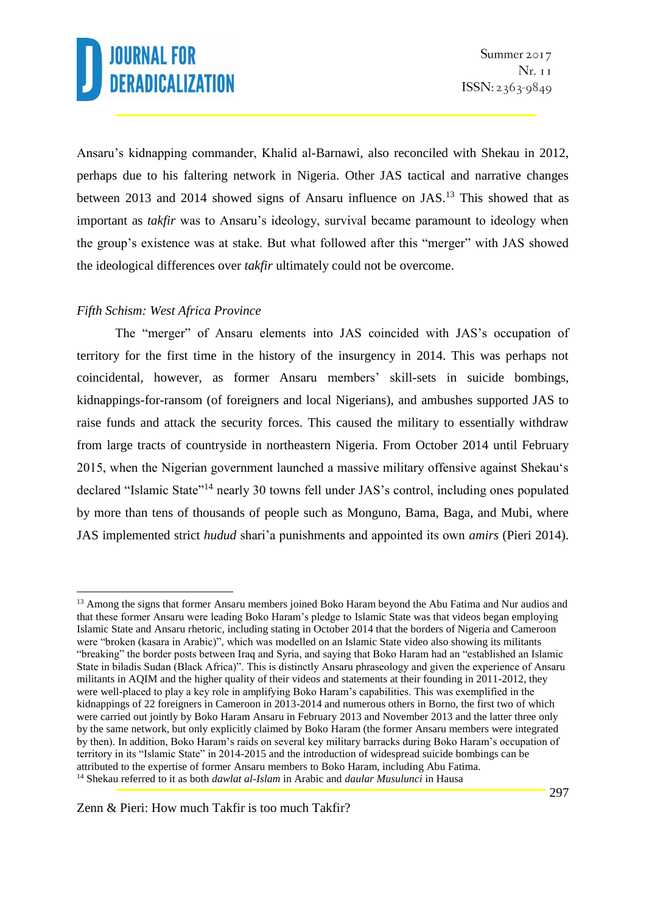Ansaru's kidnapping commander, Khalid al-Barnawi, also reconciled with Shekau in 2012, perhaps due to his faltering network in Nigeria. Other JAS tactical and narrative changes between 2013 and 2014 showed signs of Ansaru influence on JAS.<sup>13</sup> This showed that as important as *takfir* was to Ansaru's ideology, survival became paramount to ideology when the group's existence was at stake. But what followed after this "merger" with JAS showed the ideological differences over *takfir* ultimately could not be overcome.

### *Fifth Schism: West Africa Province*

<u>.</u>

The "merger" of Ansaru elements into JAS coincided with JAS's occupation of territory for the first time in the history of the insurgency in 2014. This was perhaps not coincidental, however, as former Ansaru members' skill-sets in suicide bombings, kidnappings-for-ransom (of foreigners and local Nigerians), and ambushes supported JAS to raise funds and attack the security forces. This caused the military to essentially withdraw from large tracts of countryside in northeastern Nigeria. From October 2014 until February 2015, when the Nigerian government launched a massive military offensive against Shekau's declared "Islamic State"<sup>14</sup> nearly 30 towns fell under JAS's control, including ones populated by more than tens of thousands of people such as Monguno, Bama, Baga, and Mubi, where JAS implemented strict *hudud* shari'a punishments and appointed its own *amirs* (Pieri 2014).

<sup>&</sup>lt;sup>13</sup> Among the signs that former Ansaru members joined Boko Haram beyond the Abu Fatima and Nur audios and that these former Ansaru were leading Boko Haram's pledge to Islamic State was that videos began employing Islamic State and Ansaru rhetoric, including stating in October 2014 that the borders of Nigeria and Cameroon were "broken (kasara in Arabic)", which was modelled on an Islamic State video also showing its militants "breaking" the border posts between Iraq and Syria, and saying that Boko Haram had an "established an Islamic State in biladis Sudan (Black Africa)". This is distinctly Ansaru phraseology and given the experience of Ansaru militants in AQIM and the higher quality of their videos and statements at their founding in 2011-2012, they were well-placed to play a key role in amplifying Boko Haram's capabilities. This was exemplified in the kidnappings of 22 foreigners in Cameroon in 2013-2014 and numerous others in Borno, the first two of which were carried out jointly by Boko Haram Ansaru in February 2013 and November 2013 and the latter three only by the same network, but only explicitly claimed by Boko Haram (the former Ansaru members were integrated by then). In addition, Boko Haram's raids on several key military barracks during Boko Haram's occupation of territory in its "Islamic State" in 2014-2015 and the introduction of widespread suicide bombings can be attributed to the expertise of former Ansaru members to Boko Haram, including Abu Fatima. <sup>14</sup> Shekau referred to it as both *dawlat al-Islam* in Arabic and *daular Musulunci* in Hausa

Zenn & Pieri: How much Takfir is too much Takfir?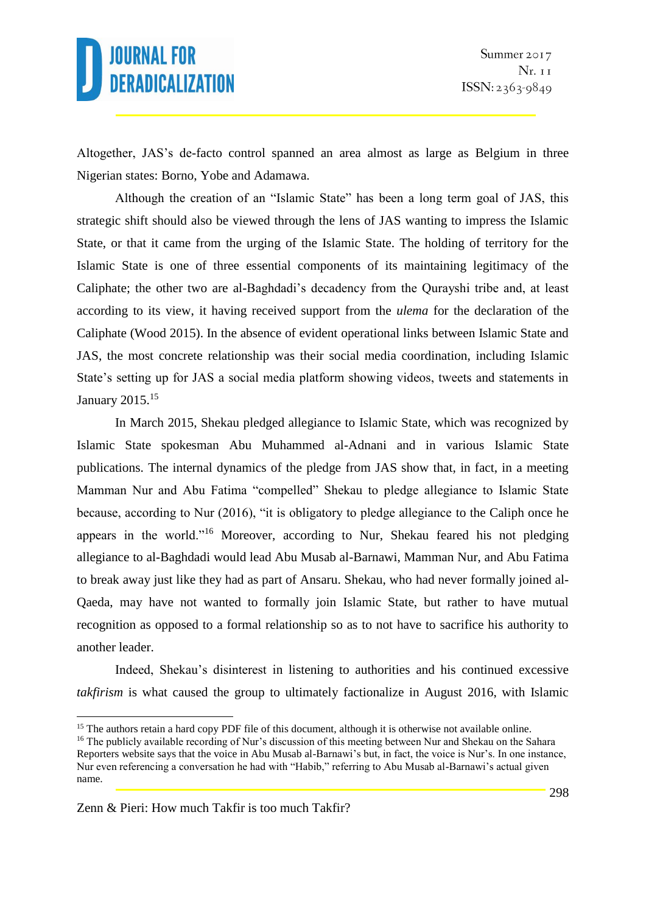Altogether, JAS's de-facto control spanned an area almost as large as Belgium in three Nigerian states: Borno, Yobe and Adamawa.

Although the creation of an "Islamic State" has been a long term goal of JAS, this strategic shift should also be viewed through the lens of JAS wanting to impress the Islamic State, or that it came from the urging of the Islamic State. The holding of territory for the Islamic State is one of three essential components of its maintaining legitimacy of the Caliphate; the other two are al-Baghdadi's decadency from the Qurayshi tribe and, at least according to its view, it having received support from the *ulema* for the declaration of the Caliphate (Wood 2015). In the absence of evident operational links between Islamic State and JAS, the most concrete relationship was their social media coordination, including Islamic State's setting up for JAS a social media platform showing videos, tweets and statements in January 2015.<sup>15</sup>

In March 2015, Shekau pledged allegiance to Islamic State, which was recognized by Islamic State spokesman Abu Muhammed al-Adnani and in various Islamic State publications. The internal dynamics of the pledge from JAS show that, in fact, in a meeting Mamman Nur and Abu Fatima "compelled" Shekau to pledge allegiance to Islamic State because, according to Nur (2016), "it is obligatory to pledge allegiance to the Caliph once he appears in the world."<sup>16</sup> Moreover, according to Nur, Shekau feared his not pledging allegiance to al-Baghdadi would lead Abu Musab al-Barnawi, Mamman Nur, and Abu Fatima to break away just like they had as part of Ansaru. Shekau, who had never formally joined al-Qaeda, may have not wanted to formally join Islamic State, but rather to have mutual recognition as opposed to a formal relationship so as to not have to sacrifice his authority to another leader.

Indeed, Shekau's disinterest in listening to authorities and his continued excessive *takfirism* is what caused the group to ultimately factionalize in August 2016, with Islamic

<sup>&</sup>lt;sup>15</sup> The authors retain a hard copy PDF file of this document, although it is otherwise not available online.

<sup>&</sup>lt;sup>16</sup> The publicly available recording of Nur's discussion of this meeting between Nur and Shekau on the Sahara Reporters website says that the voice in Abu Musab al-Barnawi's but, in fact, the voice is Nur's. In one instance, Nur even referencing a conversation he had with "Habib," referring to Abu Musab al-Barnawi's actual given name.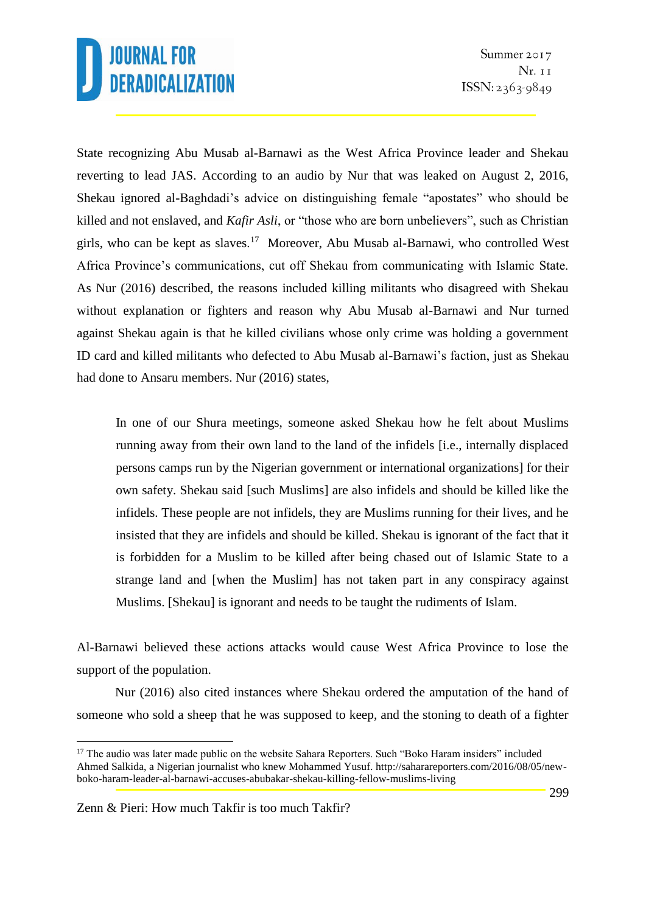State recognizing Abu Musab al-Barnawi as the West Africa Province leader and Shekau reverting to lead JAS. According to an audio by Nur that was leaked on August 2, 2016, Shekau ignored al-Baghdadi's advice on distinguishing female "apostates" who should be killed and not enslaved, and *Kafir Asli*, or "those who are born unbelievers", such as Christian girls, who can be kept as slaves.<sup>17</sup> Moreover, Abu Musab al-Barnawi, who controlled West Africa Province's communications, cut off Shekau from communicating with Islamic State. As Nur (2016) described, the reasons included killing militants who disagreed with Shekau without explanation or fighters and reason why Abu Musab al-Barnawi and Nur turned against Shekau again is that he killed civilians whose only crime was holding a government ID card and killed militants who defected to Abu Musab al-Barnawi's faction, just as Shekau had done to Ansaru members. Nur (2016) states,

In one of our Shura meetings, someone asked Shekau how he felt about Muslims running away from their own land to the land of the infidels [i.e., internally displaced persons camps run by the Nigerian government or international organizations] for their own safety. Shekau said [such Muslims] are also infidels and should be killed like the infidels. These people are not infidels, they are Muslims running for their lives, and he insisted that they are infidels and should be killed. Shekau is ignorant of the fact that it is forbidden for a Muslim to be killed after being chased out of Islamic State to a strange land and [when the Muslim] has not taken part in any conspiracy against Muslims. [Shekau] is ignorant and needs to be taught the rudiments of Islam.

Al-Barnawi believed these actions attacks would cause West Africa Province to lose the support of the population.

Nur (2016) also cited instances where Shekau ordered the amputation of the hand of someone who sold a sheep that he was supposed to keep, and the stoning to death of a fighter

<sup>&</sup>lt;sup>17</sup> The audio was later made public on the website Sahara Reporters. Such "Boko Haram insiders" included Ahmed Salkida, a Nigerian journalist who knew Mohammed Yusuf. http://saharareporters.com/2016/08/05/newboko-haram-leader-al-barnawi-accuses-abubakar-shekau-killing-fellow-muslims-living

Zenn & Pieri: How much Takfir is too much Takfir?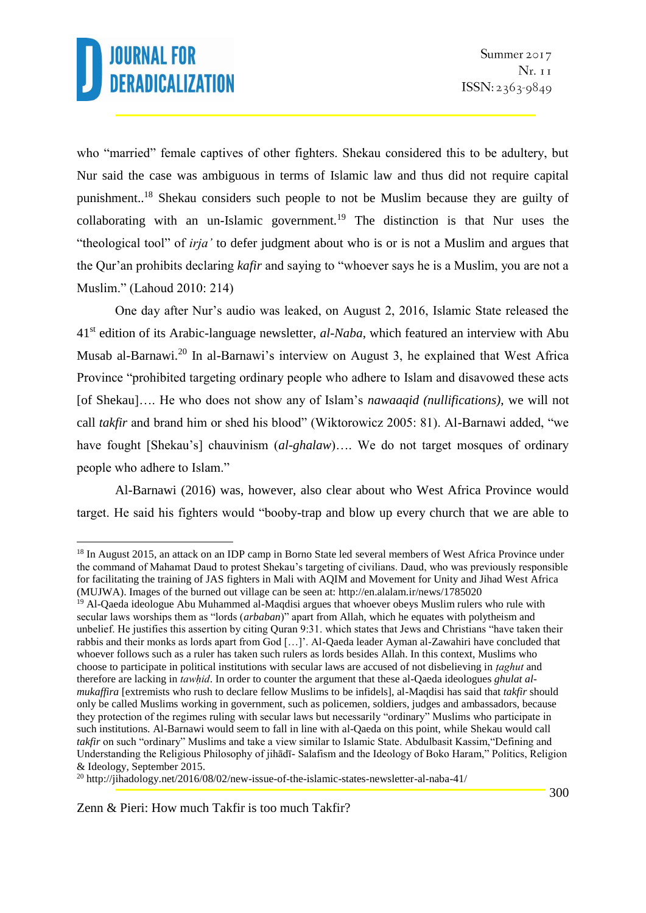<u>.</u>

who "married" female captives of other fighters. Shekau considered this to be adultery, but Nur said the case was ambiguous in terms of Islamic law and thus did not require capital punishment..<sup>18</sup> Shekau considers such people to not be Muslim because they are guilty of collaborating with an un-Islamic government.<sup>19</sup> The distinction is that Nur uses the "theological tool" of *irja'* to defer judgment about who is or is not a Muslim and argues that the Qur'an prohibits declaring *kafir* and saying to "whoever says he is a Muslim, you are not a Muslim." (Lahoud 2010: 214)

One day after Nur's audio was leaked, on August 2, 2016, Islamic State released the 41st edition of its Arabic-language newsletter, *al-Naba*, which featured an interview with Abu Musab al-Barnawi.<sup>20</sup> In al-Barnawi's interview on August 3, he explained that West Africa Province "prohibited targeting ordinary people who adhere to Islam and disavowed these acts [of Shekau]…. He who does not show any of Islam's *nawaaqid (nullifications)*, we will not call *takfir* and brand him or shed his blood" (Wiktorowicz 2005: 81). Al-Barnawi added, "we have fought [Shekau's] chauvinism *(al-ghalaw)*.... We do not target mosques of ordinary people who adhere to Islam."

Al-Barnawi (2016) was, however, also clear about who West Africa Province would target. He said his fighters would "booby-trap and blow up every church that we are able to

<sup>&</sup>lt;sup>18</sup> In August 2015, an attack on an IDP camp in Borno State led several members of West Africa Province under the command of Mahamat Daud to protest Shekau's targeting of civilians. Daud, who was previously responsible for facilitating the training of JAS fighters in Mali with AQIM and Movement for Unity and Jihad West Africa (MUJWA). Images of the burned out village can be seen at: http://en.alalam.ir/news/1785020

<sup>&</sup>lt;sup>19</sup> Al-Qaeda ideologue Abu Muhammed al-Maqdisi argues that whoever obeys Muslim rulers who rule with secular laws worships them as "lords (*arbaban*)" apart from Allah, which he equates with polytheism and unbelief. He justifies this assertion by citing Quran 9:31. which states that Jews and Christians "have taken their rabbis and their monks as lords apart from God […]'. Al-Qaeda leader Ayman al-Zawahiri have concluded that whoever follows such as a ruler has taken such rulers as lords besides Allah. In this context, Muslims who choose to participate in political institutions with secular laws are accused of not disbelieving in *ṭaghut* and therefore are lacking in *tawhid*. In order to counter the argument that these al-Qaeda ideologues *ghulat almukaffira* [extremists who rush to declare fellow Muslims to be infidels], al-Maqdisi has said that *takfir* should only be called Muslims working in government, such as policemen, soldiers, judges and ambassadors, because they protection of the regimes ruling with secular laws but necessarily "ordinary" Muslims who participate in such institutions. Al-Barnawi would seem to fall in line with al-Qaeda on this point, while Shekau would call *takfir* on such "ordinary" Muslims and take a view similar to Islamic State. Abdulbasit Kassim,"Defining and Understanding the Religious Philosophy of jihādī- Salafism and the Ideology of Boko Haram," Politics, Religion & Ideology, September 2015.

<sup>20</sup> http://jihadology.net/2016/08/02/new-issue-of-the-islamic-states-newsletter-al-naba-41/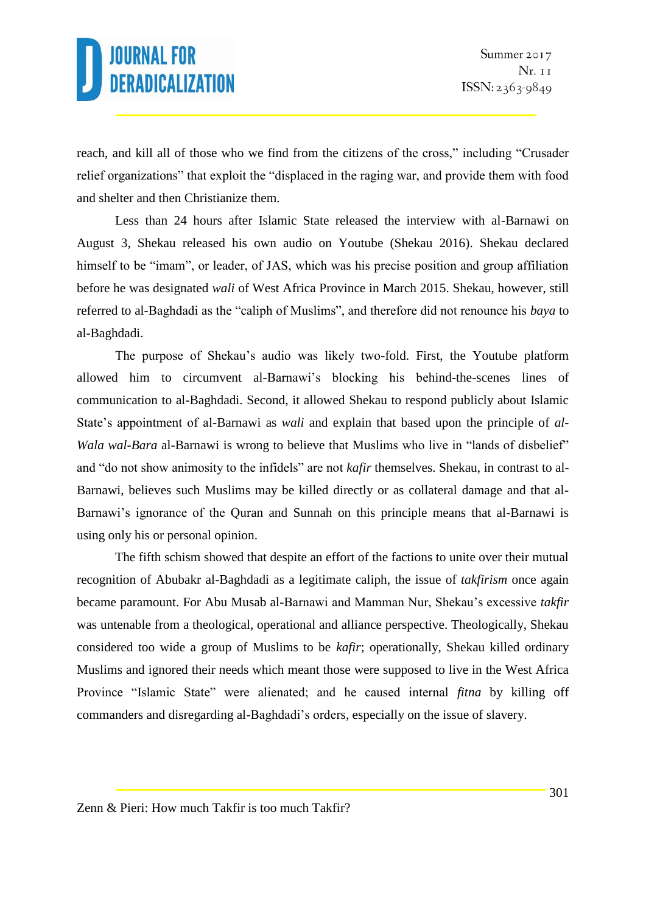reach, and kill all of those who we find from the citizens of the cross," including "Crusader relief organizations" that exploit the "displaced in the raging war, and provide them with food and shelter and then Christianize them.

Less than 24 hours after Islamic State released the interview with al-Barnawi on August 3, Shekau released his own audio on Youtube (Shekau 2016). Shekau declared himself to be "imam", or leader, of JAS, which was his precise position and group affiliation before he was designated *wali* of West Africa Province in March 2015. Shekau, however, still referred to al-Baghdadi as the "caliph of Muslims", and therefore did not renounce his *baya* to al-Baghdadi.

The purpose of Shekau's audio was likely two-fold. First, the Youtube platform allowed him to circumvent al-Barnawi's blocking his behind-the-scenes lines of communication to al-Baghdadi. Second, it allowed Shekau to respond publicly about Islamic State's appointment of al-Barnawi as *wali* and explain that based upon the principle of *al-Wala wal-Bara* al-Barnawi is wrong to believe that Muslims who live in "lands of disbelief" and "do not show animosity to the infidels" are not *kafir* themselves. Shekau, in contrast to al-Barnawi, believes such Muslims may be killed directly or as collateral damage and that al-Barnawi's ignorance of the Quran and Sunnah on this principle means that al-Barnawi is using only his or personal opinion.

The fifth schism showed that despite an effort of the factions to unite over their mutual recognition of Abubakr al-Baghdadi as a legitimate caliph, the issue of *takfirism* once again became paramount. For Abu Musab al-Barnawi and Mamman Nur, Shekau's excessive *takfir* was untenable from a theological, operational and alliance perspective. Theologically, Shekau considered too wide a group of Muslims to be *kafir*; operationally, Shekau killed ordinary Muslims and ignored their needs which meant those were supposed to live in the West Africa Province "Islamic State" were alienated; and he caused internal *fitna* by killing off commanders and disregarding al-Baghdadi's orders, especially on the issue of slavery.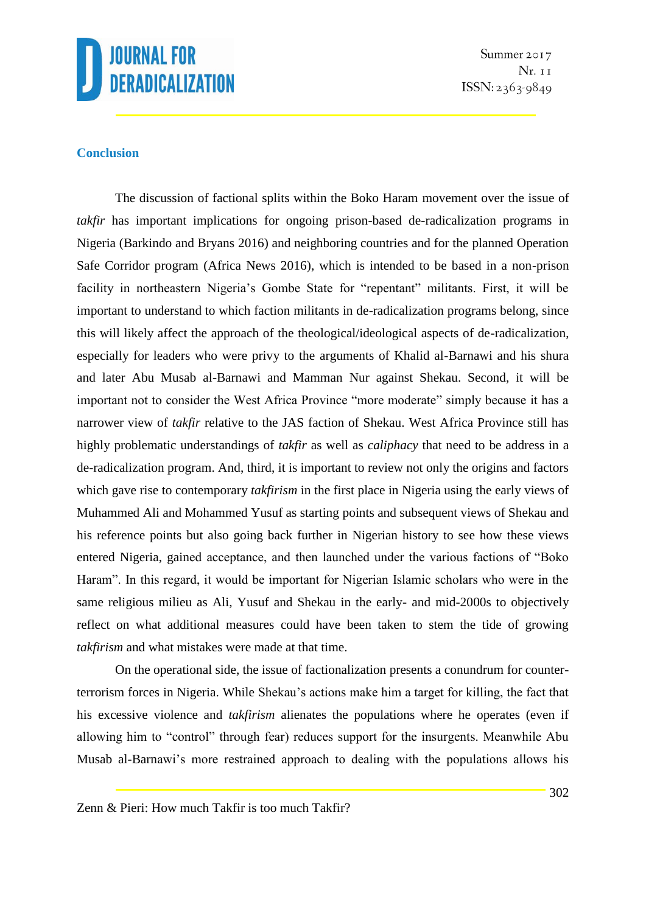

Summer 2017  $Nr. 11$  $ISSN: 2363-9849$ 

#### **Conclusion**

The discussion of factional splits within the Boko Haram movement over the issue of *takfir* has important implications for ongoing prison-based de-radicalization programs in Nigeria (Barkindo and Bryans 2016) and neighboring countries and for the planned Operation Safe Corridor program (Africa News 2016), which is intended to be based in a non-prison facility in northeastern Nigeria's Gombe State for "repentant" militants. First, it will be important to understand to which faction militants in de-radicalization programs belong, since this will likely affect the approach of the theological/ideological aspects of de-radicalization, especially for leaders who were privy to the arguments of Khalid al-Barnawi and his shura and later Abu Musab al-Barnawi and Mamman Nur against Shekau. Second, it will be important not to consider the West Africa Province "more moderate" simply because it has a narrower view of *takfir* relative to the JAS faction of Shekau. West Africa Province still has highly problematic understandings of *takfir* as well as *caliphacy* that need to be address in a de-radicalization program. And, third, it is important to review not only the origins and factors which gave rise to contemporary *takfirism* in the first place in Nigeria using the early views of Muhammed Ali and Mohammed Yusuf as starting points and subsequent views of Shekau and his reference points but also going back further in Nigerian history to see how these views entered Nigeria, gained acceptance, and then launched under the various factions of "Boko Haram". In this regard, it would be important for Nigerian Islamic scholars who were in the same religious milieu as Ali, Yusuf and Shekau in the early- and mid-2000s to objectively reflect on what additional measures could have been taken to stem the tide of growing *takfirism* and what mistakes were made at that time.

On the operational side, the issue of factionalization presents a conundrum for counterterrorism forces in Nigeria. While Shekau's actions make him a target for killing, the fact that his excessive violence and *takfirism* alienates the populations where he operates (even if allowing him to "control" through fear) reduces support for the insurgents. Meanwhile Abu Musab al-Barnawi's more restrained approach to dealing with the populations allows his

Zenn & Pieri: How much Takfir is too much Takfir?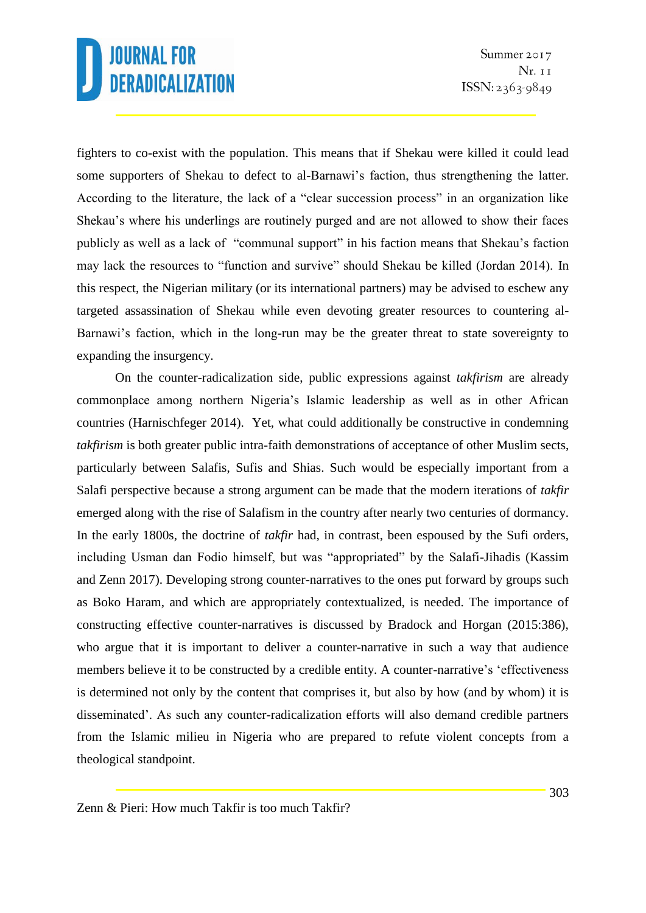fighters to co-exist with the population. This means that if Shekau were killed it could lead some supporters of Shekau to defect to al-Barnawi's faction, thus strengthening the latter. According to the literature, the lack of a "clear succession process" in an organization like Shekau's where his underlings are routinely purged and are not allowed to show their faces publicly as well as a lack of "communal support" in his faction means that Shekau's faction may lack the resources to "function and survive" should Shekau be killed (Jordan 2014). In this respect, the Nigerian military (or its international partners) may be advised to eschew any targeted assassination of Shekau while even devoting greater resources to countering al-Barnawi's faction, which in the long-run may be the greater threat to state sovereignty to expanding the insurgency.

On the counter-radicalization side, public expressions against *takfirism* are already commonplace among northern Nigeria's Islamic leadership as well as in other African countries (Harnischfeger 2014). Yet, what could additionally be constructive in condemning *takfirism* is both greater public intra-faith demonstrations of acceptance of other Muslim sects, particularly between Salafis, Sufis and Shias. Such would be especially important from a Salafi perspective because a strong argument can be made that the modern iterations of *takfir* emerged along with the rise of Salafism in the country after nearly two centuries of dormancy. In the early 1800s, the doctrine of *takfir* had, in contrast, been espoused by the Sufi orders, including Usman dan Fodio himself, but was "appropriated" by the Salafi-Jihadis (Kassim and Zenn 2017). Developing strong counter-narratives to the ones put forward by groups such as Boko Haram, and which are appropriately contextualized, is needed. The importance of constructing effective counter-narratives is discussed by Bradock and Horgan (2015:386), who argue that it is important to deliver a counter-narrative in such a way that audience members believe it to be constructed by a credible entity. A counter-narrative's 'effectiveness is determined not only by the content that comprises it, but also by how (and by whom) it is disseminated'. As such any counter-radicalization efforts will also demand credible partners from the Islamic milieu in Nigeria who are prepared to refute violent concepts from a theological standpoint.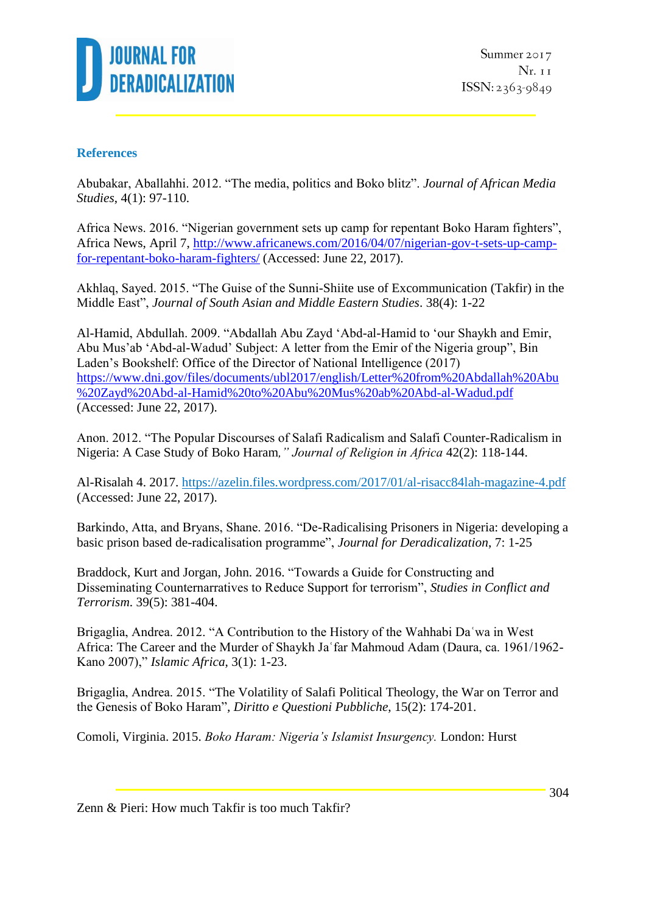

### **References**

Abubakar, Aballahhi. 2012. "The media, politics and Boko blitz". *Journal of African Media Studies*, 4(1): 97-110.

Africa News. 2016. "Nigerian government sets up camp for repentant Boko Haram fighters", Africa News, April 7, [http://www.africanews.com/2016/04/07/nigerian-gov-t-sets-up-camp](http://www.africanews.com/2016/04/07/nigerian-gov-t-sets-up-camp-for-repentant-boko-haram-fighters/)[for-repentant-boko-haram-fighters/](http://www.africanews.com/2016/04/07/nigerian-gov-t-sets-up-camp-for-repentant-boko-haram-fighters/) (Accessed: June 22, 2017).

Akhlaq, Sayed. 2015. "The Guise of the Sunni-Shiite use of Excommunication (Takfir) in the Middle East", *Journal of South Asian and Middle Eastern Studies*. 38(4): 1-22

Al-Hamid, Abdullah. 2009. "Abdallah Abu Zayd 'Abd-al-Hamid to 'our Shaykh and Emir, Abu Mus'ab 'Abd-al-Wadud' Subject: A letter from the Emir of the Nigeria group", Bin Laden's Bookshelf: Office of the Director of National Intelligence (2017) [https://www.dni.gov/files/documents/ubl2017/english/Letter%20from%20Abdallah%20Abu](https://www.dni.gov/files/documents/ubl2017/english/Letter%20from%20Abdallah%20Abu%20Zayd%20Abd-al-Hamid%20to%20Abu%20Mus%20ab%20Abd-al-Wadud.pdf) [%20Zayd%20Abd-al-Hamid%20to%20Abu%20Mus%20ab%20Abd-al-Wadud.pdf](https://www.dni.gov/files/documents/ubl2017/english/Letter%20from%20Abdallah%20Abu%20Zayd%20Abd-al-Hamid%20to%20Abu%20Mus%20ab%20Abd-al-Wadud.pdf) (Accessed: June 22, 2017).

Anon. 2012. "The Popular Discourses of Salafi Radicalism and Salafi Counter-Radicalism in Nigeria: A Case Study of Boko Haram*," Journal of Religion in Africa* 42(2): 118-144.

Al-Risalah 4. 2017.<https://azelin.files.wordpress.com/2017/01/al-risacc84lah-magazine-4.pdf> (Accessed: June 22, 2017).

Barkindo, Atta, and Bryans, Shane. 2016. "De-Radicalising Prisoners in Nigeria: developing a basic prison based de-radicalisation programme", *Journal for Deradicalization*, 7: 1-25

Braddock, Kurt and Jorgan, John. 2016. "Towards a Guide for Constructing and Disseminating Counternarratives to Reduce Support for terrorism", *Studies in Conflict and Terrorism*. 39(5): 381-404.

Brigaglia, Andrea. 2012. "A Contribution to the History of the Wahhabi Daʿwa in West Africa: The Career and the Murder of Shaykh Jaʿfar Mahmoud Adam (Daura, ca. 1961/1962- Kano 2007)," *Islamic Africa*, 3(1): 1-23.

Brigaglia, Andrea. 2015. "The Volatility of Salafi Political Theology, the War on Terror and the Genesis of Boko Haram"*, Diritto e Questioni Pubbliche*, 15(2): 174-201.

Comoli, Virginia. 2015. *Boko Haram: Nigeria's Islamist Insurgency.* London: Hurst

Zenn & Pieri: How much Takfir is too much Takfir?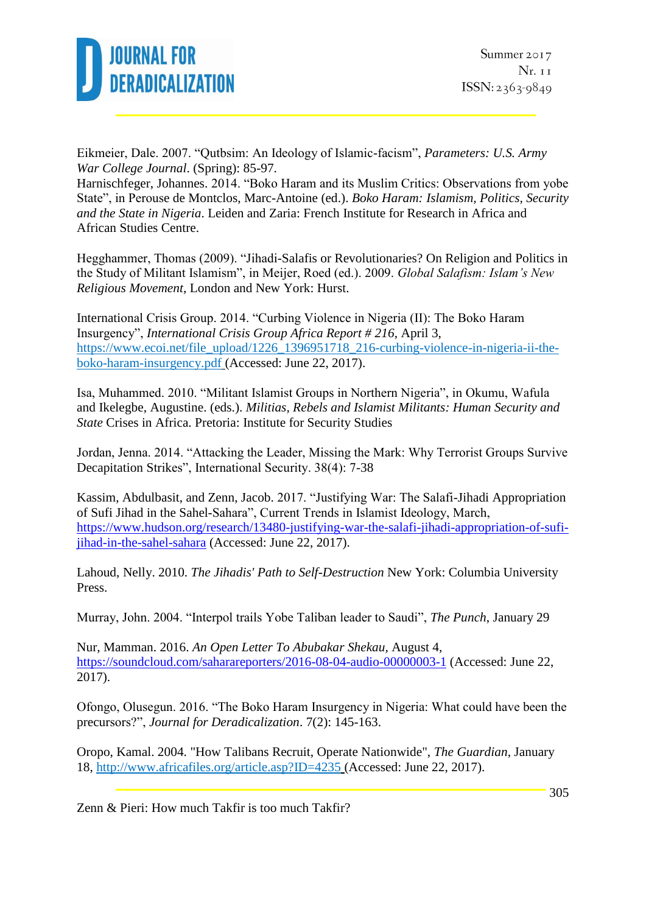

Eikmeier, Dale. 2007. "Qutbsim: An Ideology of Islamic-facism", *Parameters: U.S. Army War College Journal*. (Spring): 85-97.

Harnischfeger, Johannes. 2014. "Boko Haram and its Muslim Critics: Observations from yobe State", in Perouse de Montclos, Marc-Antoine (ed.). *Boko Haram: Islamism, Politics, Security and the State in Nigeria*. Leiden and Zaria: French Institute for Research in Africa and African Studies Centre.

Hegghammer, Thomas (2009). "Jihadi-Salafis or Revolutionaries? On Religion and Politics in the Study of Militant Islamism", in Meijer, Roed (ed.). 2009. *Global Salafism: Islam's New Religious Movement*, London and New York: Hurst.

International Crisis Group. 2014. "Curbing Violence in Nigeria (II): The Boko Haram Insurgency", *International Crisis Group Africa Report # 216*, April 3, [https://www.ecoi.net/file\\_upload/1226\\_1396951718\\_216-curbing-violence-in-nigeria-ii-the](https://www.ecoi.net/file_upload/1226_1396951718_216-curbing-violence-in-nigeria-ii-the-boko-haram-insurgency.pdf)[boko-haram-insurgency.pdf](https://www.ecoi.net/file_upload/1226_1396951718_216-curbing-violence-in-nigeria-ii-the-boko-haram-insurgency.pdf) (Accessed: June 22, 2017).

Isa, Muhammed. 2010. "Militant Islamist Groups in Northern Nigeria", in Okumu, Wafula and Ikelegbe, Augustine. (eds.). *Militias, Rebels and Islamist Militants: Human Security and State* Crises in Africa. Pretoria: Institute for Security Studies

Jordan, Jenna. 2014. "Attacking the Leader, Missing the Mark: Why Terrorist Groups Survive Decapitation Strikes", International Security. 38(4): 7-38

Kassim, Abdulbasit, and Zenn, Jacob. 2017. "Justifying War: The Salafi-Jihadi Appropriation of Sufi Jihad in the Sahel-Sahara", Current Trends in Islamist Ideology, March, [https://www.hudson.org/research/13480-justifying-war-the-salafi-jihadi-appropriation-of-sufi](https://www.hudson.org/research/13480-justifying-war-the-salafi-jihadi-appropriation-of-sufi-jihad-in-the-sahel-sahara)[jihad-in-the-sahel-sahara](https://www.hudson.org/research/13480-justifying-war-the-salafi-jihadi-appropriation-of-sufi-jihad-in-the-sahel-sahara) (Accessed: June 22, 2017).

Lahoud, Nelly. 2010. *The Jihadis' Path to Self-Destruction* New York: Columbia University Press.

Murray, John. 2004. "Interpol trails Yobe Taliban leader to Saudi", *The Punch*, January 29

Nur, Mamman. 2016. *An Open Letter To Abubakar Shekau,* August 4, <https://soundcloud.com/saharareporters/2016-08-04-audio-00000003-1> (Accessed: June 22, 2017).

Ofongo, Olusegun. 2016. "The Boko Haram Insurgency in Nigeria: What could have been the precursors?", *Journal for Deradicalization*. 7(2): 145-163.

Oropo, Kamal. 2004. "How Talibans Recruit, Operate Nationwide", *The Guardian*, January 18,<http://www.africafiles.org/article.asp?ID=4235> (Accessed: June 22, 2017).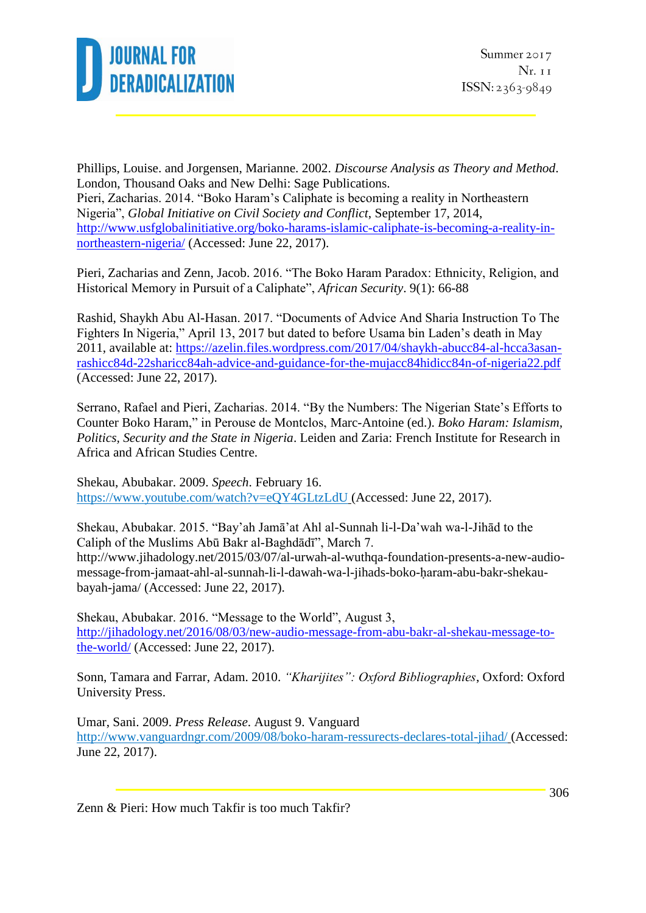

Phillips, Louise. and Jorgensen, Marianne. 2002. *Discourse Analysis as Theory and Method*. London, Thousand Oaks and New Delhi: Sage Publications. Pieri, Zacharias. 2014. "Boko Haram's Caliphate is becoming a reality in Northeastern Nigeria", *Global Initiative on Civil Society and Conflict*, September 17, 2014, [http://www.usfglobalinitiative.org/boko-harams-islamic-caliphate-is-becoming-a-reality-in](http://www.usfglobalinitiative.org/boko-harams-islamic-caliphate-is-becoming-a-reality-in-northeastern-nigeria/)[northeastern-nigeria/](http://www.usfglobalinitiative.org/boko-harams-islamic-caliphate-is-becoming-a-reality-in-northeastern-nigeria/) (Accessed: June 22, 2017).

Pieri, Zacharias and Zenn, Jacob. 2016. "The Boko Haram Paradox: Ethnicity, Religion, and Historical Memory in Pursuit of a Caliphate", *African Security*. 9(1): 66-88

Rashid, Shaykh Abu Al-Hasan. 2017. "Documents of Advice And Sharia Instruction To The Fighters In Nigeria," April 13, 2017 but dated to before Usama bin Laden's death in May 2011, available at: [https://azelin.files.wordpress.com/2017/04/shaykh-abucc84-al-hcca3asan](https://azelin.files.wordpress.com/2017/04/shaykh-abucc84-al-hcca3asan-rashicc84d-22sharicc84ah-advice-and-guidance-for-the-mujacc84hidicc84n-of-nigeria22.pdf)[rashicc84d-22sharicc84ah-advice-and-guidance-for-the-mujacc84hidicc84n-of-nigeria22.pdf](https://azelin.files.wordpress.com/2017/04/shaykh-abucc84-al-hcca3asan-rashicc84d-22sharicc84ah-advice-and-guidance-for-the-mujacc84hidicc84n-of-nigeria22.pdf)  (Accessed: June 22, 2017).

Serrano, Rafael and Pieri, Zacharias. 2014. "By the Numbers: The Nigerian State's Efforts to Counter Boko Haram," in Perouse de Montclos, Marc-Antoine (ed.). *Boko Haram: Islamism, Politics, Security and the State in Nigeria*. Leiden and Zaria: French Institute for Research in Africa and African Studies Centre.

Shekau, Abubakar. 2009. *Speech*. February 16. <https://www.youtube.com/watch?v=eQY4GLtzLdU> (Accessed: June 22, 2017).

Shekau, Abubakar. 2015. "Bay'ah Jamā'at Ahl al-Sunnah li-l-Da'wah wa-l-Jihād to the Caliph of the Muslims Abū Bakr al-Baghdādī", March 7. http://www.jihadology.net/2015/03/07/al-urwah-al-wuthqa-foundation-presents-a-new-audiomessage-from-jamaat-ahl-al-sunnah-li-l-dawah-wa-l-jihads-boko-haram-abu-bakr-shekaubayah-jama/ (Accessed: June 22, 2017).

Shekau, Abubakar. 2016. "Message to the World", August 3, [http://jihadology.net/2016/08/03/new-audio-message-from-abu-bakr-al-shekau-message-to](http://jihadology.net/2016/08/03/new-audio-message-from-abu-bakr-al-shekau-message-to-the-world/)[the-world/](http://jihadology.net/2016/08/03/new-audio-message-from-abu-bakr-al-shekau-message-to-the-world/) (Accessed: June 22, 2017).

Sonn, Tamara and Farrar, Adam. 2010. *"Kharijites": Oxford Bibliographies*, Oxford: Oxford University Press.

Umar, Sani. 2009. *Press Release*. August 9. Vanguard <http://www.vanguardngr.com/2009/08/boko-haram-ressurects-declares-total-jihad/> (Accessed: June 22, 2017).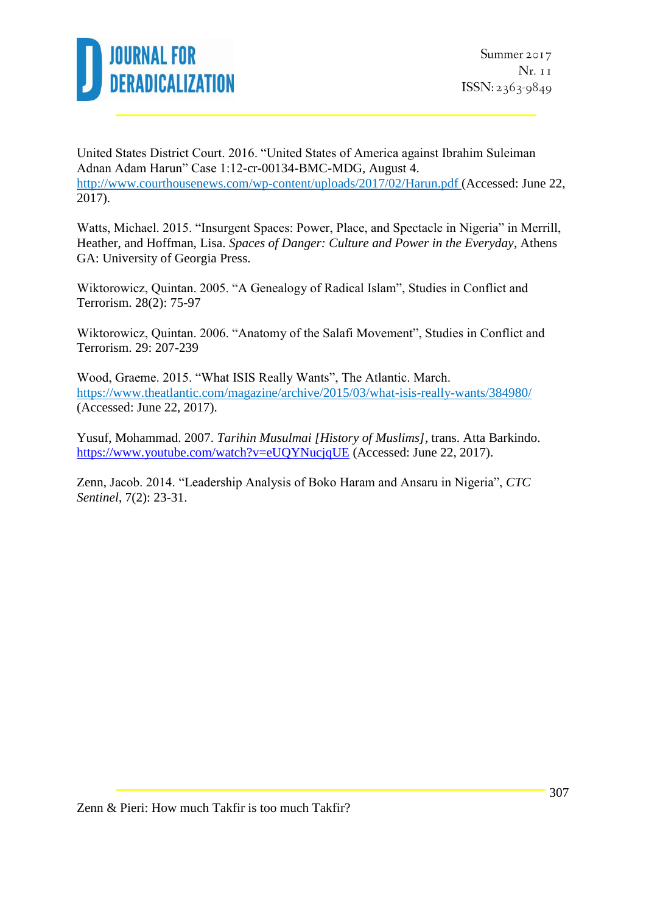

United States District Court. 2016. "United States of America against Ibrahim Suleiman Adnan Adam Harun" Case 1:12-cr-00134-BMC-MDG, August 4. <http://www.courthousenews.com/wp-content/uploads/2017/02/Harun.pdf> (Accessed: June 22, 2017).

Watts, Michael. 2015. "Insurgent Spaces: Power, Place, and Spectacle in Nigeria" in Merrill, Heather, and Hoffman, Lisa. *Spaces of Danger: Culture and Power in the Everyday*, Athens GA: University of Georgia Press.

Wiktorowicz, Quintan. 2005. "A Genealogy of Radical Islam", Studies in Conflict and Terrorism. 28(2): 75-97

Wiktorowicz, Quintan. 2006. "Anatomy of the Salafi Movement", Studies in Conflict and Terrorism. 29: 207-239

Wood, Graeme. 2015. "What ISIS Really Wants", The Atlantic. March. <https://www.theatlantic.com/magazine/archive/2015/03/what-isis-really-wants/384980/> (Accessed: June 22, 2017).

Yusuf, Mohammad. 2007. *Tarihin Musulmai [History of Muslims],* trans. Atta Barkindo. <https://www.youtube.com/watch?v=eUQYNucjqUE> (Accessed: June 22, 2017).

Zenn, Jacob. 2014. "Leadership Analysis of Boko Haram and Ansaru in Nigeria", *CTC Sentinel*, 7(2): 23-31.